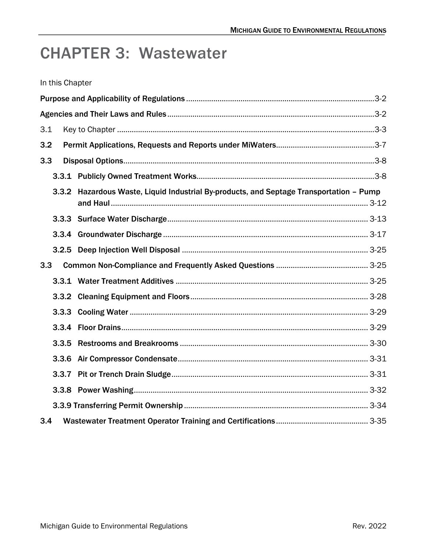# **CHAPTER 3: Wastewater**

|  | In this Chapter |  |
|--|-----------------|--|
|  |                 |  |

| 3.1   |                                                                                         |  |
|-------|-----------------------------------------------------------------------------------------|--|
| 3.2   |                                                                                         |  |
| 3.3   |                                                                                         |  |
|       |                                                                                         |  |
|       | 3.3.2 Hazardous Waste, Liquid Industrial By-products, and Septage Transportation - Pump |  |
|       |                                                                                         |  |
|       |                                                                                         |  |
|       |                                                                                         |  |
| 3.3   |                                                                                         |  |
|       |                                                                                         |  |
|       |                                                                                         |  |
|       |                                                                                         |  |
|       |                                                                                         |  |
| 3.3.5 |                                                                                         |  |
|       |                                                                                         |  |
|       |                                                                                         |  |
|       |                                                                                         |  |
|       |                                                                                         |  |
| 3.4   |                                                                                         |  |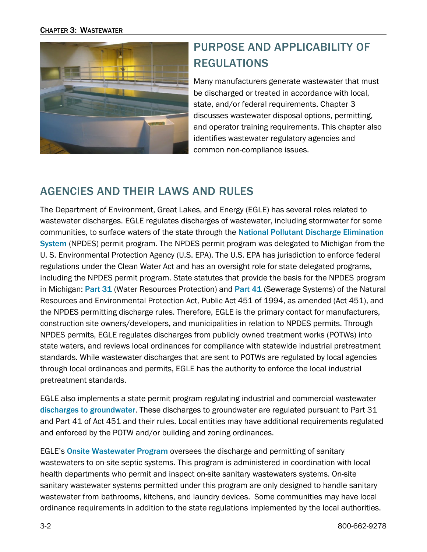

# <span id="page-1-0"></span>PURPOSE AND APPLICABILITY OF REGULATIONS

Many manufacturers generate wastewater that must be discharged or treated in accordance with local, state, and/or federal requirements. Chapter 3 discusses wastewater disposal options, permitting, and operator training requirements. This chapter also identifies wastewater regulatory agencies and common non-compliance issues.

# <span id="page-1-1"></span>AGENCIES AND THEIR LAWS AND RULES

The Department of Environment, Great Lakes, and Energy (EGLE) has several roles related to wastewater discharges. EGLE regulates discharges of wastewater, including stormwater for some communities, to surface waters of the state through the [National Pollutant Discharge Elimination](https://www.michigan.gov/egle/about/organization/water-resources/npdes)  [System](https://www.michigan.gov/egle/about/organization/water-resources/npdes) (NPDES) permit program. The NPDES permit program was delegated to Michigan from the U. S. Environmental Protection Agency (U.S. EPA). The U.S. EPA has jurisdiction to enforce federal regulations under the Clean Water Act and has an oversight role for state delegated programs, including the NPDES permit program. State statutes that provide the basis for the NPDES program in Michigan: [Part 31](http://www.legislature.mi.gov/(S(c4cskky11kal3eno0gyktgtb))/mileg.aspx?page=getObject&objectName=mcl-451-1994-II-1-31) (Water Resources Protection) and [Part 41](https://www.michigan.gov/egle/about/organization/Water-Resources/wastewater-construction) (Sewerage Systems) of the Natural Resources and Environmental Protection Act, Public Act 451 of 1994, as amended (Act 451), and the NPDES permitting discharge rules. Therefore, EGLE is the primary contact for manufacturers, construction site owners/developers, and municipalities in relation to NPDES permits. Through NPDES permits, EGLE regulates discharges from publicly owned treatment works (POTWs) into state waters, and reviews local ordinances for compliance with statewide industrial pretreatment standards. While wastewater discharges that are sent to POTWs are regulated by local agencies through local ordinances and permits, EGLE has the authority to enforce the local industrial pretreatment standards.

EGLE also implements a state permit program regulating industrial and commercial wastewater [discharges to groundwater](https://www.michigan.gov/egle/about/organization/Water-Resources/groundwater-discharge). These discharges to groundwater are regulated pursuant to Part 31 and Part 41 of Act 451 and their rules. Local entities may have additional requirements regulated and enforced by the POTW and/or building and zoning ordinances.

EGLE's [Onsite Wastewater Program](https://www.michigan.gov/egle/about/organization/drinking-water-and-environmental-health/onsite-wastewater-management) oversees the discharge and permitting of sanitary wastewaters to on-site septic systems. This program is administered in coordination with local health departments who permit and inspect on-site sanitary wastewaters systems. On-site sanitary wastewater systems permitted under this program are only designed to handle sanitary wastewater from bathrooms, kitchens, and laundry devices. Some communities may have local ordinance requirements in addition to the state regulations implemented by the local authorities.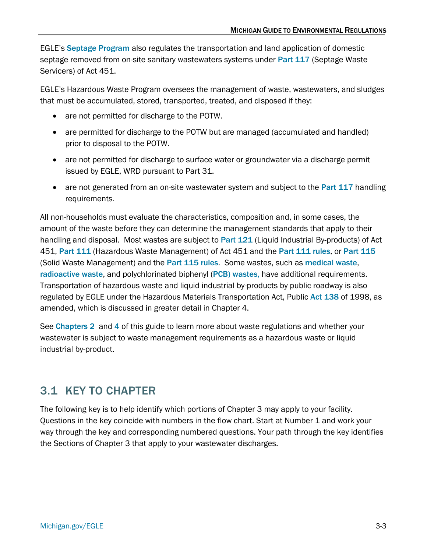EGLE's [Septage Program](https://www.michigan.gov/egle/about/organization/drinking-water-and-environmental-health/septage) also regulates the transportation and land application of domestic septage removed from on-site sanitary wastewaters systems under [Part 117](http://www.legislature.mi.gov/(S(azzwknkecvtdt1iniw1n2uzt))/documents/mcl/pdf/mcl-451-1994-ii-3-117.pdf) (Septage Waste Servicers) of Act 451.

EGLE's Hazardous Waste Program oversees the management of waste, wastewaters, and sludges that must be accumulated, stored, transported, treated, and disposed if they:

- are not permitted for discharge to the POTW.
- are permitted for discharge to the POTW but are managed (accumulated and handled) prior to disposal to the POTW.
- are not permitted for discharge to surface water or groundwater via a discharge permit issued by EGLE, WRD pursuant to Part 31.
- are not generated from an on-site wastewater system and subject to the [Part 117](http://www.legislature.mi.gov/(S(azzwknkecvtdt1iniw1n2uzt))/documents/mcl/pdf/mcl-451-1994-ii-3-117.pdf) handling requirements.

All non-households must evaluate the characteristics, composition and, in some cases, the amount of the waste before they can determine the management standards that apply to their handling and disposal. Most wastes are subject to [Part 121](http://www.legislature.mi.gov/(S(bg445xwtqnfm4qau0lijpsub))/documents/mcl/pdf/mcl-451-1994-II-3-121.pdf) (Liquid Industrial By-products) of Act 451, Part [111](http://www.legislature.mi.gov/(S(caxvkf0v02ge1eje45wyfz1y))/mileg.aspx?page=getObject&objectName=mcl-451-1994-II-3-111) (Hazardous Waste Management) of Act 451 and the [Part 111 rules](https://www.michigan.gov/-/media/Project/Websites/egle/Documents/Laws-Rules/MMD/Part111Rules.pdf), or [Part 115](http://www.legislature.mi.gov/(S(o3odfnnvvfmwgrdrkqz0qadv))/mileg.aspx?page=getObject&objectName=mcl-451-1994-II-3-115)  (Solid Waste Management) and the [Part 115 rules](http://dmbinternet.state.mi.us/DMB/orrdocs/AdminCode/1485_2014-146EQ_AdminCode.pdf). Some wastes, such as [medical waste](https://www.michigan.gov/egle/about/organization/materials-management/medical-waste-regulatory-program), [radioactive waste](https://www.michigan.gov/egle/about/organization/materials-management/radiological/low-level-radioactive-waste), and polychlorinated biphenyl ([PCB\) wastes,](http://www3.epa.gov/epawaste/hazard/tsd/pcbs/index.htm) have additional requirements. Transportation of hazardous waste and liquid industrial by-products by public roadway is also regulated by EGLE under the Hazardous Materials Transportation Act, Public [Act 138](http://www.legislature.mi.gov/(S(0gznlgjchhtjcszka542qy1i))/documents/mcl/pdf/mcl-act-138-of-1998.pdf) of 1998, as amended, which is discussed in greater detail in Chapter 4.

See [Chapters 2](https://www.michigan.gov/egle/-/media/Project/Websites/egle/Documents/Regulatory-Assistance/Guidebooks/MI-Guide-to-Environmental-Regulations/MI-Guide-Environmental-Regulations-Ch2-Waste.pdf) and [4](https://www.michigan.gov/egle/-/media/Project/Websites/egle/Documents/Regulatory-Assistance/Guidebooks/MI-Guide-to-Environmental-Regulations/MI-Guide-Environmental-Regulations-Ch4-Transport.pdf) of this guide to learn more about waste regulations and whether your wastewater is subject to waste management requirements as a hazardous waste or liquid industrial by-product.

# <span id="page-2-0"></span>3.1 KEY TO CHAPTER

The following key is to help identify which portions of Chapter 3 may apply to your facility. Questions in the key coincide with numbers in the flow chart. Start at Number 1 and work your way through the key and corresponding numbered questions. Your path through the key identifies the Sections of Chapter 3 that apply to your wastewater discharges.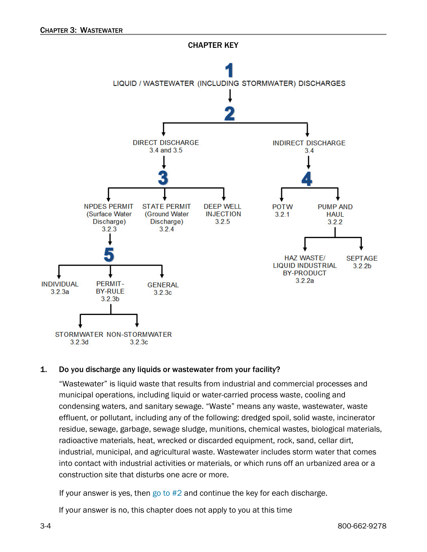

#### 1. Do you discharge any liquids or wastewater from your facility?

"Wastewater" is liquid waste that results from industrial and commercial processes and municipal operations, including liquid or water-carried process waste, cooling and condensing waters, and sanitary sewage. "Waste" means any waste, wastewater, waste effluent, or pollutant, including any of the following: dredged spoil, solid waste, incinerator residue, sewage, garbage, sewage sludge, munitions, chemical wastes, biological materials, radioactive materials, heat, wrecked or discarded equipment, rock, sand, cellar dirt, industrial, municipal, and agricultural waste. Wastewater includes storm water that comes into contact with industrial activities or materials, or which runs off an urbanized area or a construction site that disturbs one acre or more.

If your answer is yes, then go to  $#2$  and continue the key for each discharge.

<span id="page-3-0"></span>If your answer is no, this chapter does not apply to you at this time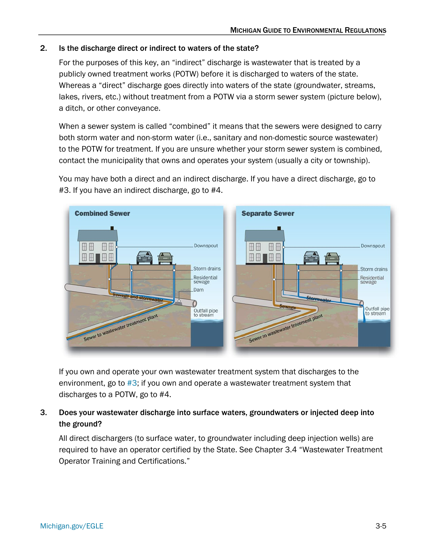### 2. Is the discharge direct or indirect to waters of the state?

For the purposes of this key, an "indirect" discharge is wastewater that is treated by a publicly owned treatment works (POTW) before it is discharged to waters of the state. Whereas a "direct" discharge goes directly into waters of the state (groundwater, streams, lakes, rivers, etc.) without treatment from a POTW via a storm sewer system (picture below), a ditch, or other conveyance.

When a sewer system is called "combined" it means that the sewers were designed to carry both storm water and non-storm water (i.e., sanitary and non-domestic source wastewater) to the POTW for treatment. If you are unsure whether your storm sewer system is combined, contact the municipality that owns and operates your system (usually a city or township).

You may have both a direct and an indirect discharge. If you have a direct discharge, go to #3. If you have an indirect discharge, go to #4.



If you own and operate your own wastewater treatment system that discharges to the environment, go to [#3;](#page-4-0) if you own and operate a wastewater treatment system that discharges to a POTW, go to #4.

### <span id="page-4-0"></span>3. Does your wastewater discharge into surface waters, groundwaters or injected deep into the ground?

All direct dischargers (to surface water, to groundwater including deep injection wells) are required to have an operator certified by the State. See Chapter 3.4 "Wastewater Treatment Operator Training and Certifications."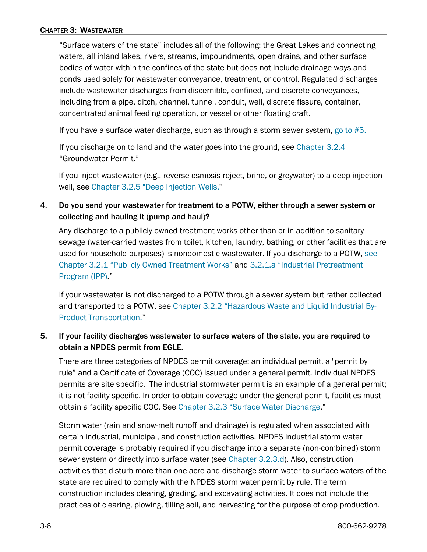"Surface waters of the state" includes all of the following: the Great Lakes and connecting waters, all inland lakes, rivers, streams, impoundments, open drains, and other surface bodies of water within the confines of the state but does not include drainage ways and ponds used solely for wastewater conveyance, treatment, or control. Regulated discharges include wastewater discharges from discernible, confined, and discrete conveyances, including from a pipe, ditch, channel, tunnel, conduit, well, discrete fissure, container, concentrated animal feeding operation, or vessel or other floating craft.

If you have a surface water discharge, such as through a storm sewer system, [go to #5.](#page-5-0) 

If you discharge on to land and the water goes into the ground, see [Chapter 3.2.4](#page-16-0) "Groundwater Permit."

If you inject wastewater (e.g., reverse osmosis reject, brine, or greywater) to a deep injection well, see [Chapter 3.2.5 "Deep Injection Wells."](#page-24-0)

4. Do you send your wastewater for treatment to a POTW, either through a sewer system or collecting and hauling it (pump and haul)?

Any discharge to a publicly owned treatment works other than or in addition to sanitary sewage (water-carried wastes from toilet, kitchen, laundry, bathing, or other facilities that are used for household purposes) is nondomestic wastewater. If you discharge to a POTW, [see](#page-7-1)  [Chapter 3.2.1 "Publicly Owned Treatment Works"](#page-7-1) and [3.2.1.a "Industrial Pretreatment](#page-8-0)  [Program \(IPP\).](#page-8-0)"

If your wastewater is not discharged to a POTW through a sewer system but rather collected and transported to a POTW, see [Chapter 3.2.2 "Hazardous Waste](#page-11-0) and Liquid Industrial By-Product [Transportation."](#page-11-0)

### <span id="page-5-0"></span>5. If your facility discharges wastewater to surface waters of the state, you are required to obtain a NPDES permit from EGLE.

There are three categories of NPDES permit coverage; an individual permit, a "permit by rule" and a Certificate of Coverage (COC) issued under a general permit. Individual NPDES permits are site specific. The industrial stormwater permit is an example of a general permit; it is not facility specific. In order to obtain coverage under the general permit, facilities must obtain a facility specific COC. See [Chapter 3.2.3 "Surface Water Discharge.](#page-12-0)"

Storm water (rain and snow-melt runoff and drainage) is regulated when associated with certain industrial, municipal, and construction activities. NPDES industrial storm water permit coverage is probably required if you discharge into a separate (non-combined) storm sewer system or directly into surface water (see [Chapter 3.2.3.d\)](#page-14-0). Also, construction activities that disturb more than one acre and discharge storm water to surface waters of the state are required to comply with the NPDES storm water permit by rule. The term construction includes clearing, grading, and excavating activities. It does not include the practices of clearing, plowing, tilling soil, and harvesting for the purpose of crop production.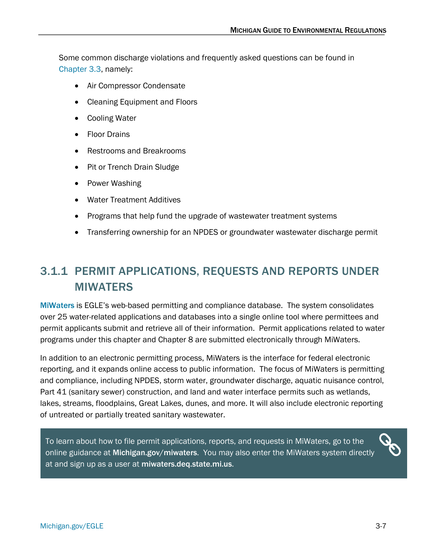Some common discharge violations and frequently asked questions can be found in [Chapter 3.3,](#page-24-1) namely:

- Air Compressor Condensate
- Cleaning Equipment and Floors
- Cooling Water
- Floor Drains
- Restrooms and Breakrooms
- Pit or Trench Drain Sludge
- Power Washing
- Water Treatment Additives
- Programs that help fund the upgrade of wastewater treatment systems
- Transferring ownership for an NPDES or groundwater wastewater discharge permit

# <span id="page-6-0"></span>3.1.1 PERMIT APPLICATIONS, REQUESTS AND REPORTS UNDER MIWATERS

[MiWaters](https://www.michigan.gov/egle/maps-data/miwaters) is EGLE's web-based permitting and compliance database. The system consolidates over 25 water-related applications and databases into a single online tool where permittees and permit applicants submit and retrieve all of their information. Permit applications related to water programs under this chapter and Chapter 8 are submitted electronically through MiWaters.

In addition to an electronic permitting process, MiWaters is the interface for federal electronic reporting, and it expands online access to public information. The focus of MiWaters is permitting and compliance, including NPDES, storm water, groundwater discharge, aquatic nuisance control, Part 41 (sanitary sewer) construction, and land and water interface permits such as wetlands, lakes, streams, floodplains, Great Lakes, dunes, and more. It will also include electronic reporting of untreated or partially treated sanitary wastewater.

To learn about how to file permit applications, reports, and requests in MiWaters, go to the online guidance at [Michigan.gov/miwaters](http://www.michigan.gov/miwaters). You may also enter the MiWaters system directly at and sign up as a user at [miwaters.deq.state.mi.us](https://miwaters.deq.state.mi.us/).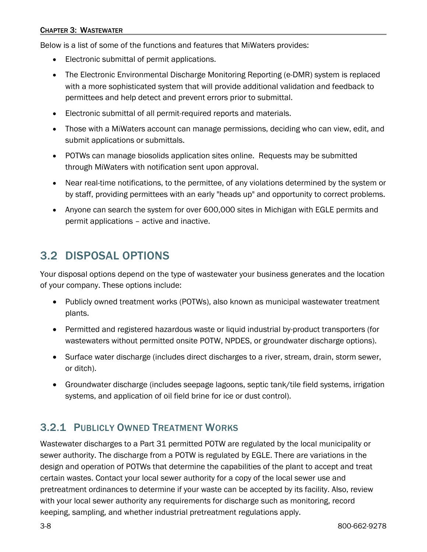Below is a list of some of the functions and features that MiWaters provides:

- Electronic submittal of permit applications.
- The Electronic Environmental Discharge Monitoring Reporting (e-DMR) system is replaced with a more sophisticated system that will provide additional validation and feedback to permittees and help detect and prevent errors prior to submittal.
- Electronic submittal of all permit-required reports and materials.
- Those with a MiWaters account can manage permissions, deciding who can view, edit, and submit applications or submittals.
- POTWs can manage biosolids application sites online. Requests may be submitted through MiWaters with notification sent upon approval.
- Near real-time notifications, to the permittee, of any violations determined by the system or by staff, providing permittees with an early "heads up" and opportunity to correct problems.
- Anyone can search the system for over 600,000 sites in Michigan with EGLE permits and permit applications – active and inactive.

# <span id="page-7-0"></span>3.2 DISPOSAL OPTIONS

Your disposal options depend on the type of wastewater your business generates and the location of your company. These options include:

- Publicly owned treatment works (POTWs), also known as municipal wastewater treatment plants.
- Permitted and registered hazardous waste or liquid industrial by-product transporters (for wastewaters without permitted onsite POTW, NPDES, or groundwater discharge options).
- Surface water discharge (includes direct discharges to a river, stream, drain, storm sewer, or ditch).
- Groundwater discharge (includes seepage lagoons, septic tank/tile field systems, irrigation systems, and application of oil field brine for ice or dust control).

# <span id="page-7-1"></span>3.2.1 PUBLICLY OWNED TREATMENT WORKS

Wastewater discharges to a Part 31 permitted POTW are regulated by the local municipality or sewer authority. The discharge from a POTW is regulated by EGLE. There are variations in the design and operation of POTWs that determine the capabilities of the plant to accept and treat certain wastes. Contact your local sewer authority for a copy of the local sewer use and pretreatment ordinances to determine if your waste can be accepted by its facility. Also, review with your local sewer authority any requirements for discharge such as monitoring, record keeping, sampling, and whether industrial pretreatment regulations apply.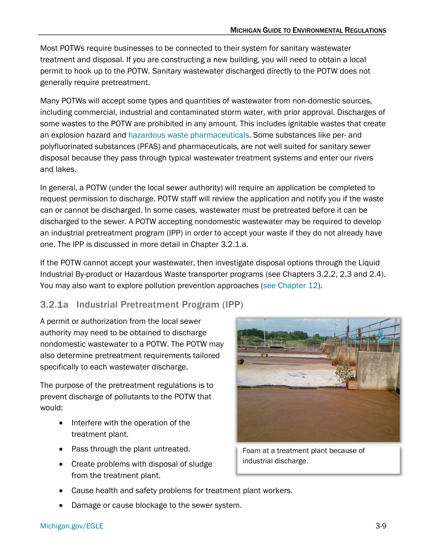Most POTWs require businesses to be connected to their system for sanitary wastewater treatment and disposal. If you are constructing a new building, you will need to obtain a local permit to hook up to the POTW. Sanitary wastewater discharged directly to the POTW does not generally require pretreatment.

Many POTWs will accept some types and quantities of wastewater from non-domestic sources, including commercial, industrial and contaminated storm water, with prior approval. Discharges of some wastes to the POTW are prohibited in any amount. This includes ignitable wastes that create an explosion hazard and [hazardous waste pharmaceuticals.](https://www.michigan.gov/opioids/nel/panel-news/news/new-national-rules-for-healthcare-governing-pharmaceutical-disposal-start-august-21-2019) Some substances like per- and polyfluorinated substances (PFAS) and pharmaceuticals, are not well suited for sanitary sewer disposal because they pass through typical wastewater treatment systems and enter our rivers and lakes.

In general, a POTW (under the local sewer authority) will require an application be completed to request permission to discharge. POTW staff will review the application and notify you if the waste can or cannot be discharged. In some cases, wastewater must be pretreated before it can be discharged to the sewer. A POTW accepting nondomestic wastewater may be required to develop an industrial pretreatment program (IPP) in order to accept your waste if they do not already have one. The IPP is discussed in more detail in Chapter 3.2.1.a.

If the POTW cannot accept your wastewater, then investigate disposal options through the Liquid Industrial By-product or Hazardous Waste transporter programs (see Chapters 3.2.2, 2.3 and 2.4). You may also want to explore pollution prevention approaches [\(see Chapter 12\)](https://www.michigan.gov/egle/-/media/Project/Websites/egle/Documents/Regulatory-Assistance/Guidebooks/MI-Guide-to-Environmental-Regulations/MI-Guide-Environmental-Regulations-Ch12-Sustainability.pdf).

### <span id="page-8-0"></span>3.2.1a Industrial Pretreatment Program (IPP)

A permit or authorization from the local sewer authority may need to be obtained to discharge nondomestic wastewater to a POTW. The POTW may also determine pretreatment requirements tailored specifically to each wastewater discharge.

The purpose of the pretreatment regulations is to prevent discharge of pollutants to the POTW that would:

- Interfere with the operation of the treatment plant.
- Pass through the plant untreated.
- Create problems with disposal of sludge from the treatment plant.



Foam at a treatment plant because of industrial discharge.

- Cause health and safety problems for treatment plant workers.
- Damage or cause blockage to the sewer system.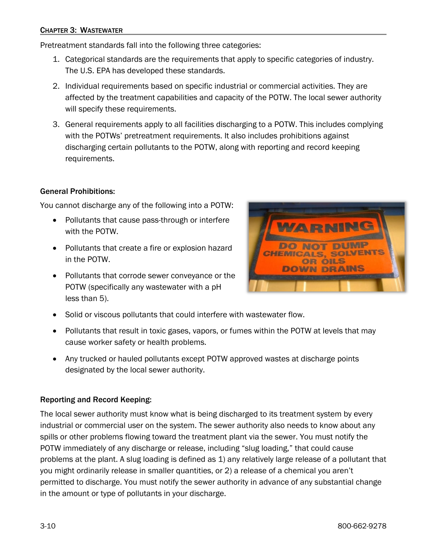#### CHAPTER 3: WASTEWATER

Pretreatment standards fall into the following three categories:

- 1. Categorical standards are the requirements that apply to specific categories of industry. The U.S. EPA has developed these standards.
- 2. Individual requirements based on specific industrial or commercial activities. They are affected by the treatment capabilities and capacity of the POTW. The local sewer authority will specify these requirements.
- 3. General requirements apply to all facilities discharging to a POTW. This includes complying with the POTWs' pretreatment requirements. It also includes prohibitions against discharging certain pollutants to the POTW, along with reporting and record keeping requirements.

### General Prohibitions:

You cannot discharge any of the following into a POTW:

- Pollutants that cause pass-through or interfere with the POTW.
- Pollutants that create a fire or explosion hazard in the POTW.
- Pollutants that corrode sewer conveyance or the POTW (specifically any wastewater with a pH less than 5).



- Solid or viscous pollutants that could interfere with wastewater flow.
- Pollutants that result in toxic gases, vapors, or fumes within the POTW at levels that may cause worker safety or health problems.
- Any trucked or hauled pollutants except POTW approved wastes at discharge points designated by the local sewer authority.

#### Reporting and Record Keeping:

The local sewer authority must know what is being discharged to its treatment system by every industrial or commercial user on the system. The sewer authority also needs to know about any spills or other problems flowing toward the treatment plant via the sewer. You must notify the POTW immediately of any discharge or release, including "slug loading," that could cause problems at the plant. A slug loading is defined as 1) any relatively large release of a pollutant that you might ordinarily release in smaller quantities, or 2) a release of a chemical you aren't permitted to discharge. You must notify the sewer authority in advance of any substantial change in the amount or type of pollutants in your discharge.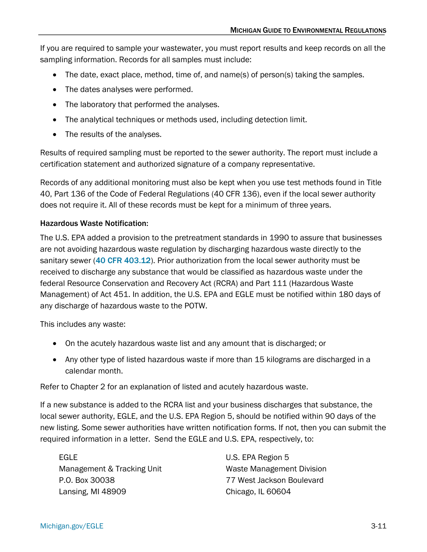If you are required to sample your wastewater, you must report results and keep records on all the sampling information. Records for all samples must include:

- The date, exact place, method, time of, and name(s) of person(s) taking the samples.
- The dates analyses were performed.
- The laboratory that performed the analyses.
- The analytical techniques or methods used, including detection limit.
- The results of the analyses.

Results of required sampling must be reported to the sewer authority. The report must include a certification statement and authorized signature of a company representative.

Records of any additional monitoring must also be kept when you use test methods found in Title 40, Part 136 of the Code of Federal Regulations (40 CFR 136), even if the local sewer authority does not require it. All of these records must be kept for a minimum of three years.

### Hazardous Waste Notification:

The U.S. EPA added a provision to the pretreatment standards in 1990 to assure that businesses are not avoiding hazardous waste regulation by discharging hazardous waste directly to the sanitary sewer ([40 CFR 403.12](https://www.gpo.gov/fdsys/pkg/CFR-2017-title40-vol31/pdf/CFR-2017-title40-vol31-sec403-12.pdf)). Prior authorization from the local sewer authority must be received to discharge any substance that would be classified as hazardous waste under the federal Resource Conservation and Recovery Act (RCRA) and Part 111 (Hazardous Waste Management) of Act 451. In addition, the U.S. EPA and EGLE must be notified within 180 days of any discharge of hazardous waste to the POTW.

This includes any waste:

- On the acutely hazardous waste list and any amount that is discharged; or
- Any other type of listed hazardous waste if more than 15 kilograms are discharged in a calendar month.

Refer to Chapter 2 for an explanation of listed and acutely hazardous waste.

If a new substance is added to the RCRA list and your business discharges that substance, the local sewer authority, EGLE, and the U.S. EPA Region 5, should be notified within 90 days of the new listing. Some sewer authorities have written notification forms. If not, then you can submit the required information in a letter. Send the EGLE and U.S. EPA, respectively, to:

EGLE Management & Tracking Unit P.O. Box 30038 Lansing, MI 48909

U.S. EPA Region 5 Waste Management Division 77 West Jackson Boulevard Chicago, IL 60604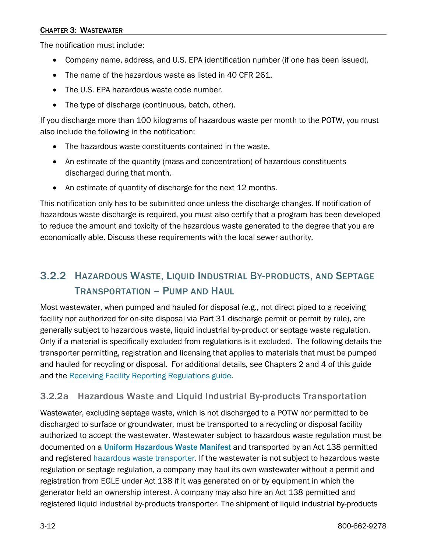### CHAPTER 3: WASTEWATER

The notification must include:

- Company name, address, and U.S. EPA identification number (if one has been issued).
- The name of the hazardous waste as listed in 40 CFR 261.
- The U.S. EPA hazardous waste code number.
- The type of discharge (continuous, batch, other).

If you discharge more than 100 kilograms of hazardous waste per month to the POTW, you must also include the following in the notification:

- The hazardous waste constituents contained in the waste.
- An estimate of the quantity (mass and concentration) of hazardous constituents discharged during that month.
- An estimate of quantity of discharge for the next 12 months.

This notification only has to be submitted once unless the discharge changes. If notification of hazardous waste discharge is required, you must also certify that a program has been developed to reduce the amount and toxicity of the hazardous waste generated to the degree that you are economically able. Discuss these requirements with the local sewer authority.

# <span id="page-11-0"></span>3.2.2 HAZARDOUS WASTE, LIQUID INDUSTRIAL BY-PRODUCTS, AND SEPTAGE TRANSPORTATION – PUMP AND HAUL

Most wastewater, when pumped and hauled for disposal (e.g., not direct piped to a receiving facility nor authorized for on-site disposal via Part 31 discharge permit or permit by rule), are generally subject to hazardous waste, liquid industrial by-product or septage waste regulation. Only if a material is specifically excluded from regulations is it excluded. The following details the transporter permitting, registration and licensing that applies to materials that must be pumped and hauled for recycling or disposal. For additional details, see Chapters 2 and 4 of this guide and the [Receiving Facility Reporting Regulations guide.](https://www.michigan.gov/-/media/Project/Websites/egle/Documents/Programs/MMD/Hazardous-Waste/Receiving-Facility-Reporting-Requirements.pdf)

## 3.2.2a Hazardous Waste and Liquid Industrial By-products Transportation

Wastewater, excluding septage waste, which is not discharged to a POTW nor permitted to be discharged to surface or groundwater, must be transported to a recycling or disposal facility authorized to accept the wastewater. Wastewater subject to hazardous waste regulation must be documented on a [Uniform Hazardous Waste Manifest](https://www.michigan.gov/egle/about/organization/Materials-Management/hazardous-waste/liquid-industrial-byproducts/manifest-information) and transported by an Act 138 permitted and registered [hazardous waste transporter.](https://www.michigan.gov/egle/about/organization/Materials-Management/transportation) If the wastewater is not subject to hazardous waste regulation or septage regulation, a company may haul its own wastewater without a permit and registration from EGLE under Act 138 if it was generated on or by equipment in which the generator held an ownership interest. A company may also hire an Act 138 permitted and registered liquid industrial by-products transporter. The shipment of liquid industrial by-products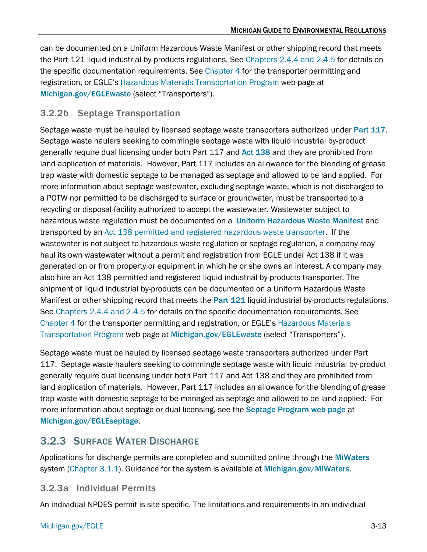can be documented on a Uniform Hazardous Waste Manifest or other shipping record that meets the Part 121 liquid industrial by-products regulations. Se[e Chapters 2.4.4 and 2.4.5](https://www.michigan.gov/egle/-/media/Project/Websites/egle/Documents/Regulatory-Assistance/Guidebooks/MI-Guide-to-Environmental-Regulations/MI-Guide-Environmental-Regulations-Ch2-Waste.pdf#page=63) for details on the specific documentation requirements. See [Chapter 4](https://www.michigan.gov/egle/-/media/Project/Websites/egle/Documents/Regulatory-Assistance/Guidebooks/MI-Guide-to-Environmental-Regulations/MI-Guide-Environmental-Regulations-Ch4-Transport.pdf) for the transporter permitting and registration, or EGLE's [Hazardous Materials Transportation Program](https://www.michigan.gov/egle/about/organization/materials-management/transportation) web page at [Michigan.gov/EGLEwaste](http://www.michigan.gov/deqwaste) (select "Transporters").

### 3.2.2b Septage Transportation

Septage waste must be hauled by licensed septage waste transporters authorized under [Part 117](http://www.legislature.mi.gov/(S(rp0lpmxphrxz52remulhxb5u))/mileg.aspx?page=getobject&objectname=mcl-451-1994-ii-3-117&highlight=). Septage waste haulers seeking to commingle septage waste with liquid industrial by-product generally require dual licensing under both Part 117 and [Act 138](http://www.legislature.mi.gov/(S(fbmmggkve2q0owetcy1msaq5))/mileg.aspx?page=getobject&objectname=mcl-act-138-of-1998&queryid=385247&highlight=) and they are prohibited from land application of materials. However, Part 117 includes an allowance for the blending of grease trap waste with domestic septage to be managed as septage and allowed to be land applied. For more information about septage wastewater, excluding septage waste, which is not discharged to a POTW nor permitted to be discharged to surface or groundwater, must be transported to a recycling or disposal facility authorized to accept the wastewater. Wastewater subject to hazardous waste regulation must be documented on a [Uniform Hazardous Waste Manifest](http://www.michigan.gov/deq/0,4561,7-135-3312-150978--,00.html) and transported by an [Act 138 permitted and registered hazardous waste transporter.](https://www.michigan.gov/egle/about/organization/Materials-Management/transportation) If the wastewater is not subject to hazardous waste regulation or septage regulation, a company may haul its own wastewater without a permit and registration from EGLE under Act 138 if it was generated on or from property or equipment in which he or she owns an interest. A company may also hire an Act 138 permitted and registered liquid industrial by-products transporter. The shipment of liquid industrial by-products can be documented on a Uniform Hazardous Waste Manifest or other shipping record that meets the [Part 121](http://www.legislature.mi.gov/(S(m0vpeleiif4ou4cdtr014io4))/mileg.aspx?page=getObject&objectName=mcl-451-1994-II-3-121) liquid industrial by-products regulations. Se[e Chapters 2.4.4 and 2.4.5](https://www.michigan.gov/egle/-/media/Project/Websites/egle/Documents/Regulatory-Assistance/Guidebooks/MI-Guide-to-Environmental-Regulations/MI-Guide-Environmental-Regulations-Ch2-Waste.pdf#page=63) for details on the specific documentation requirements. See [Chapter 4](https://www.michigan.gov/egle/-/media/Project/Websites/egle/Documents/Regulatory-Assistance/Guidebooks/MI-Guide-to-Environmental-Regulations/MI-Guide-Environmental-Regulations-Ch4-Transport.pdf) for the transporter permitting and registration, or EGLE's [Hazardous Materials](https://www.michigan.gov/egle/about/organization/materials-management/transportation)  [Transportation Program](https://www.michigan.gov/egle/about/organization/materials-management/transportation) web page at [Michigan.gov/EGLEwaste](http://www.michigan.gov/deqwaste) (select "Transporters").

Septage waste must be hauled by licensed septage waste transporters authorized under Part 117. Septage waste haulers seeking to commingle septage waste with liquid industrial by-product generally require dual licensing under both Part 117 and Act 138 and they are prohibited from land application of materials. However, Part 117 includes an allowance for the blending of grease trap waste with domestic septage to be managed as septage and allowed to be land applied. For more information about septage or dual licensing, see the [Septage Program](https://www.michigan.gov/egle/about/organization/drinking-water-and-environmental-health/septage) web page at [Michigan.gov/EGLEseptage](http://www.michigan.gov/egleseptage).

# <span id="page-12-0"></span>3.2.3 SURFACE WATER DISCHARGE

Applications for discharge permits are completed and submitted online through the [MiWaters](https://www.michigan.gov/egle/maps-data/miwaters) system [\(Chapter 3.1.1\)](#page-7-0). Guidance for the system is available at [Michigan.gov/MiWaters](http://www.michigan.gov/miwaters).

### 3.2.3a Individual Permits

An individual NPDES permit is site specific. The limitations and requirements in an individual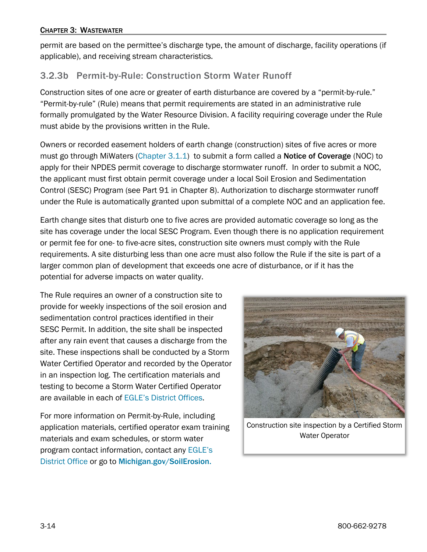permit are based on the permittee's discharge type, the amount of discharge, facility operations (if applicable), and receiving stream characteristics.

# 3.2.3b Permit-by-Rule: Construction Storm Water Runoff

Construction sites of one acre or greater of earth disturbance are covered by a "permit-by-rule." "Permit-by-rule" (Rule) means that permit requirements are stated in an administrative rule formally promulgated by the Water Resource Division. A facility requiring coverage under the Rule must abide by the provisions written in the Rule.

Owners or recorded easement holders of earth change (construction) sites of five acres or more must go through MiWaters [\(Chapter 3.1.1\)](#page-7-0) to submit a form called a **Notice of Coverage** (NOC) to apply for their NPDES permit coverage to discharge stormwater runoff. In order to submit a NOC, the applicant must first obtain permit coverage under a local Soil Erosion and Sedimentation Control (SESC) Program (see Part 91 in Chapter 8). Authorization to discharge stormwater runoff under the Rule is automatically granted upon submittal of a complete NOC and an application fee.

Earth change sites that disturb one to five acres are provided automatic coverage so long as the site has coverage under the local SESC Program. Even though there is no application requirement or permit fee for one- to five-acre sites, construction site owners must comply with the Rule requirements. A site disturbing less than one acre must also follow the Rule if the site is part of a larger common plan of development that exceeds one acre of disturbance, or if it has the potential for adverse impacts on water quality.

The Rule requires an owner of a construction site to provide for weekly inspections of the soil erosion and sedimentation control practices identified in their SESC Permit. In addition, the site shall be inspected after any rain event that causes a discharge from the site. These inspections shall be conducted by a Storm Water Certified Operator and recorded by the Operator in an inspection log. The certification materials and testing to become a Storm Water Certified Operator are available in each of [EGLE's District Offices.](https://www.michigan.gov/egle/contact/district-office-locations)

For more information on Permit-by-Rule, including application materials, certified operator exam training materials and exam schedules, or storm water program contact information, contact any [EGLE's](https://www.michigan.gov/egle/contact/district-office-locations)  [District Office](https://www.michigan.gov/egle/contact/district-office-locations) or go to [Michigan.gov/SoilErosion.](http://www.michigan.gov/soilerosion)



Construction site inspection by a Certified Storm Water Operator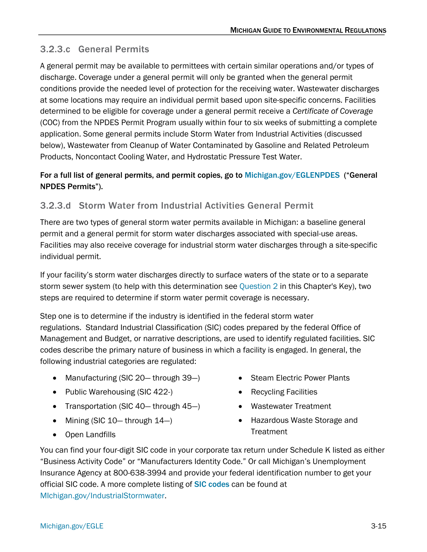## 3.2.3.c General Permits

A general permit may be available to permittees with certain similar operations and/or types of discharge. Coverage under a general permit will only be granted when the general permit conditions provide the needed level of protection for the receiving water. Wastewater discharges at some locations may require an individual permit based upon site-specific concerns. Facilities determined to be eligible for coverage under a general permit receive a *Certificate of Coverage* (COC) from the NPDES Permit Program usually within four to six weeks of submitting a complete application. Some general permits include Storm Water from Industrial Activities (discussed below), Wastewater from Cleanup of Water Contaminated by Gasoline and Related Petroleum Products, Noncontact Cooling Water, and Hydrostatic Pressure Test Water.

### For a full list of general permits, and permit copies, go to [Michigan.gov/EGLENPDES](http://www.michigan.gov/EGLEnpdes) ("General NPDES Permits").

### <span id="page-14-0"></span>3.2.3.d Storm Water from Industrial Activities General Permit

There are two types of general storm water permits available in Michigan: a baseline general permit and a general permit for storm water discharges associated with special-use areas. Facilities may also receive coverage for industrial storm water discharges through a site-specific individual permit.

If your facility's storm water discharges directly to surface waters of the state or to a separate storm sewer system (to help with this determination see [Question 2](#page-3-0) in this Chapter's Key), two steps are required to determine if storm water permit coverage is necessary.

Step one is to determine if the industry is identified in the federal storm water regulations. Standard Industrial Classification (SIC) codes prepared by the federal Office of Management and Budget, or narrative descriptions, are used to identify regulated facilities. SIC codes describe the primary nature of business in which a facility is engaged. In general, the following industrial categories are regulated:

- Manufacturing (SIC 20— through 39—)
- Public Warehousing (SIC 422-)
- Transportation (SIC 40— through 45—)
- Mining (SIC 10— through 14—)
- Open Landfills
- Steam Electric Power Plants
- Recycling Facilities
- Wastewater Treatment
- Hazardous Waste Storage and **Treatment**

You can find your four-digit SIC code in your corporate tax return under Schedule K listed as either "Business Activity Code" or "Manufacturers Identity Code." Or call Michigan's Unemployment Insurance Agency at 800-638-3994 and provide your federal identification number to get your official SIC code. A more complete listing of **[SIC codes](https://www.michigan.gov/-/media/Project/Websites/egle/Documents/Programs/WRD/Storm-Water-Industrial/standard-industrial-classification-codes.pdf)** can be found at [MIchigan.gov/IndustrialStormwater.](http://www.michigan.gov/IndustrialStormwater)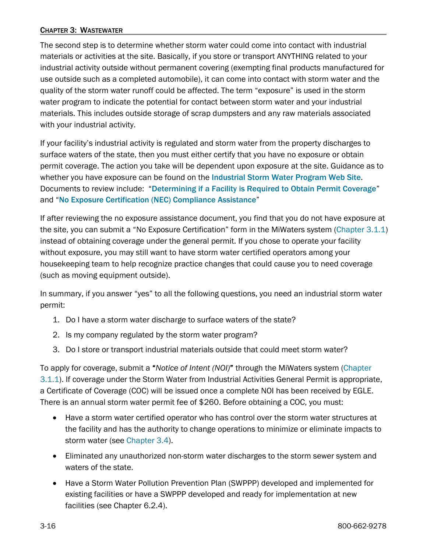#### CHAPTER 3: WASTEWATER

The second step is to determine whether storm water could come into contact with industrial materials or activities at the site. Basically, if you store or transport ANYTHING related to your industrial activity outside without permanent covering (exempting final products manufactured for use outside such as a completed automobile), it can come into contact with storm water and the quality of the storm water runoff could be affected. The term "exposure" is used in the storm water program to indicate the potential for contact between storm water and your industrial materials. This includes outside storage of scrap dumpsters and any raw materials associated with your industrial activity.

If your facility's industrial activity is regulated and storm water from the property discharges to surface waters of the state, then you must either certify that you have no exposure or obtain permit coverage. The action you take will be dependent upon exposure at the site. Guidance as to whether you have exposure can be found on the [Industrial Storm Water Program Web Site](https://www.michigan.gov/egle/about/organization/water-resources/industrial-storm-water). Documents to review include: "[Determining if a Facility is Required to Obtain Permit Coverage](https://www.michigan.gov/egle/-/media/Project/Websites/egle/Documents/Programs/WRD/Storm-Water-Industrial/determining-if-permit-is-needed.pdf)" and "[No Exposure Certification \(NEC\) Compliance Assistance](https://www.michigan.gov/-/media/Project/Websites/egle/Documents/Programs/WRD/Storm-Water-Industrial/nec-compliance-assistance.pdf)"

If after reviewing the no exposure assistance document, you find that you do not have exposure at the site, you can submit a "No Exposure Certification" form in the MiWaters system [\(Chapter 3.1.1\)](#page-7-0) instead of obtaining coverage under the general permit. If you chose to operate your facility without exposure, you may still want to have storm water certified operators among your housekeeping team to help recognize practice changes that could cause you to need coverage (such as moving equipment outside).

In summary, if you answer "yes" to all the following questions, you need an industrial storm water permit:

- 1. Do I have a storm water discharge to surface waters of the state?
- 2. Is my company regulated by the storm water program?
- 3. Do I store or transport industrial materials outside that could meet storm water?

To apply for coverage, submit a "*Notice of Intent (NOI)*" through the MiWaters system [\(Chapter](#page-7-0)  [3.1.1\)](#page-7-0). If coverage under the Storm Water from Industrial Activities General Permit is appropriate, a Certificate of Coverage (COC) will be issued once a complete NOI has been received by EGLE. There is an annual storm water permit fee of \$260. Before obtaining a COC, you must:

- Have a storm water certified operator who has control over the storm water structures at the facility and has the authority to change operations to minimize or eliminate impacts to storm water (se[e Chapter 3.4\)](#page-34-0).
- Eliminated any unauthorized non-storm water discharges to the storm sewer system and waters of the state.
- Have a Storm Water Pollution Prevention Plan (SWPPP) developed and implemented for existing facilities or have a SWPPP developed and ready for implementation at new facilities (see Chapter 6.2.4).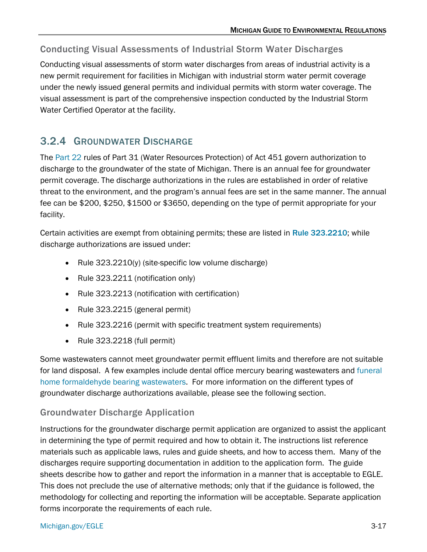### Conducting Visual Assessments of Industrial Storm Water Discharges

Conducting visual assessments of storm water discharges from areas of industrial activity is a new permit requirement for facilities in Michigan with industrial storm water permit coverage under the newly issued general permits and individual permits with storm water coverage. The visual assessment is part of the comprehensive inspection conducted by the Industrial Storm Water Certified Operator at the facility.

# <span id="page-16-0"></span>3.2.4 GROUNDWATER DISCHARGE

The [Part 22](https://ars.apps.lara.state.mi.us/AdminCode/DownloadAdminCodeFile?FileName=R%20323.2201%20to%20R%20323.2240.pdf) rules of Part 31 (Water Resources Protection) of Act 451 govern authorization to discharge to the groundwater of the state of Michigan. There is an annual fee for groundwater permit coverage. The discharge authorizations in the rules are established in order of relative threat to the environment, and the program's annual fees are set in the same manner. The annual fee can be \$200, \$250, \$1500 or \$3650, depending on the type of permit appropriate for your facility.

Certain activities are exempt from obtaining permits; these are listed in [Rule 323.2210](http://www.deq.state.mi.us/documents/deq-wmd-gwp-part22.pdf); while discharge authorizations are issued under:

- Rule 323.2210(y) (site-specific low volume discharge)
- Rule 323.2211 (notification only)
- Rule 323.2213 (notification with certification)
- Rule 323.2215 (general permit)
- Rule 323.2216 (permit with specific treatment system requirements)
- Rule 323.2218 (full permit)

Some wastewaters cannot meet groundwater permit effluent limits and therefore are not suitable for land disposal. A few examples include dental office mercury bearing wastewaters and [funeral](https://www.michigan.gov/documents/deq/wmrpd-sws-mwrp-onsite-septic-systems-card-funeral-10292018_641273_7.pdf)  [home formaldehyde bearing wastewaters.](https://www.michigan.gov/documents/deq/wmrpd-sws-mwrp-onsite-septic-systems-card-funeral-10292018_641273_7.pdf) For more information on the different types of groundwater discharge authorizations available, please see the following section.

### Groundwater Discharge Application

Instructions for the groundwater discharge permit application are organized to assist the applicant in determining the type of permit required and how to obtain it. The instructions list reference materials such as applicable laws, rules and guide sheets, and how to access them. Many of the discharges require supporting documentation in addition to the application form. The guide sheets describe how to gather and report the information in a manner that is acceptable to EGLE. This does not preclude the use of alternative methods; only that if the guidance is followed, the methodology for collecting and reporting the information will be acceptable. Separate application forms incorporate the requirements of each rule.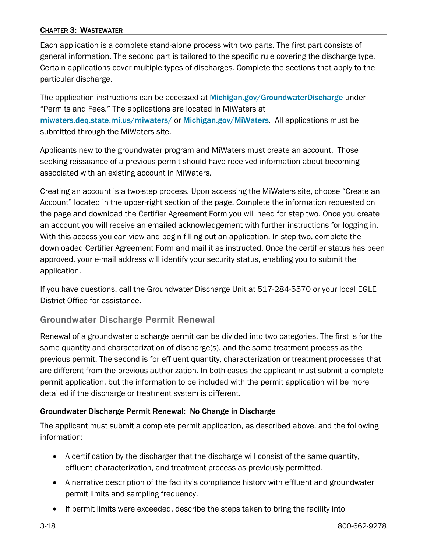### CHAPTER 3: WASTEWATER

Each application is a complete stand-alone process with two parts. The first part consists of general information. The second part is tailored to the specific rule covering the discharge type. Certain applications cover multiple types of discharges. Complete the sections that apply to the particular discharge.

The application instructions can be accessed at [Michigan.gov/GroundwaterDischarge](https://www.michigan.gov/egle/about/organization/Water-Resources/groundwater-discharge) under "Permits and Fees." The applications are located in MiWaters at [miwaters.deq.state.mi.us/miwaters/](https://miwaters.deq.state.mi.us/miwaters/external/home) or [Michigan.gov/MiWaters.](https://www.michigan.gov/egle/maps-data/miwaters) All applications must be submitted through the MiWaters site.

Applicants new to the groundwater program and MiWaters must create an account. Those seeking reissuance of a previous permit should have received information about becoming associated with an existing account in MiWaters.

Creating an account is a two-step process. Upon accessing the MiWaters site, choose "Create an Account" located in the upper-right section of the page. Complete the information requested on the page and download the Certifier Agreement Form you will need for step two. Once you create an account you will receive an emailed acknowledgement with further instructions for logging in. With this access you can view and begin filling out an application. In step two, complete the downloaded Certifier Agreement Form and mail it as instructed. Once the certifier status has been approved, your e-mail address will identify your security status, enabling you to submit the application.

If you have questions, call the Groundwater Discharge Unit at 517-284-5570 or your local EGLE District Office for assistance.

### Groundwater Discharge Permit Renewal

Renewal of a groundwater discharge permit can be divided into two categories. The first is for the same quantity and characterization of discharge(s), and the same treatment process as the previous permit. The second is for effluent quantity, characterization or treatment processes that are different from the previous authorization. In both cases the applicant must submit a complete permit application, but the information to be included with the permit application will be more detailed if the discharge or treatment system is different.

#### Groundwater Discharge Permit Renewal: No Change in Discharge

The applicant must submit a complete permit application, as described above, and the following information:

- A certification by the discharger that the discharge will consist of the same quantity, effluent characterization, and treatment process as previously permitted.
- A narrative description of the facility's compliance history with effluent and groundwater permit limits and sampling frequency.
- If permit limits were exceeded, describe the steps taken to bring the facility into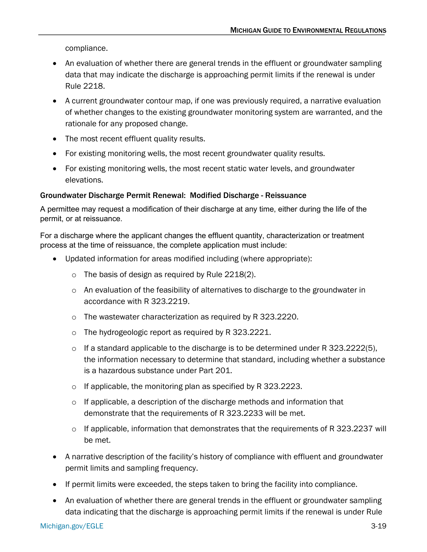compliance.

- An evaluation of whether there are general trends in the effluent or groundwater sampling data that may indicate the discharge is approaching permit limits if the renewal is under Rule 2218.
- A current groundwater contour map, if one was previously required, a narrative evaluation of whether changes to the existing groundwater monitoring system are warranted, and the rationale for any proposed change.
- The most recent effluent quality results.
- For existing monitoring wells, the most recent groundwater quality results.
- For existing monitoring wells, the most recent static water levels, and groundwater elevations.

### Groundwater Discharge Permit Renewal: Modified Discharge - Reissuance

A permittee may request a modification of their discharge at any time, either during the life of the permit, or at reissuance.

For a discharge where the applicant changes the effluent quantity, characterization or treatment process at the time of reissuance, the complete application must include:

- Updated information for areas modified including (where appropriate):
	- $\circ$  The basis of design as required by Rule 2218(2).
	- $\circ$  An evaluation of the feasibility of alternatives to discharge to the groundwater in accordance with R 323.2219.
	- o The wastewater characterization as required by R 323.2220.
	- o The hydrogeologic report as required by R 323.2221.
	- $\circ$  If a standard applicable to the discharge is to be determined under R 323.2222(5), the information necessary to determine that standard, including whether a substance is a hazardous substance under Part 201.
	- o If applicable, the monitoring plan as specified by R 323.2223.
	- o If applicable, a description of the discharge methods and information that demonstrate that the requirements of R 323.2233 will be met.
	- o If applicable, information that demonstrates that the requirements of R 323.2237 will be met.
- A narrative description of the facility's history of compliance with effluent and groundwater permit limits and sampling frequency.
- If permit limits were exceeded, the steps taken to bring the facility into compliance.
- An evaluation of whether there are general trends in the effluent or groundwater sampling data indicating that the discharge is approaching permit limits if the renewal is under Rule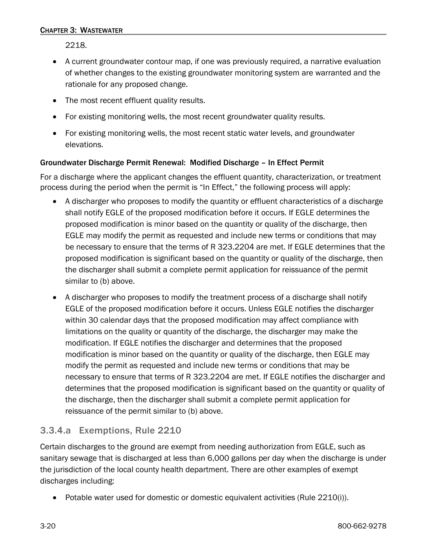2218.

- A current groundwater contour map, if one was previously required, a narrative evaluation of whether changes to the existing groundwater monitoring system are warranted and the rationale for any proposed change.
- The most recent effluent quality results.
- For existing monitoring wells, the most recent groundwater quality results.
- For existing monitoring wells, the most recent static water levels, and groundwater elevations.

### Groundwater Discharge Permit Renewal: Modified Discharge – In Effect Permit

For a discharge where the applicant changes the effluent quantity, characterization, or treatment process during the period when the permit is "In Effect," the following process will apply:

- A discharger who proposes to modify the quantity or effluent characteristics of a discharge shall notify EGLE of the proposed modification before it occurs. If EGLE determines the proposed modification is minor based on the quantity or quality of the discharge, then EGLE may modify the permit as requested and include new terms or conditions that may be necessary to ensure that the terms of R 323.2204 are met. If EGLE determines that the proposed modification is significant based on the quantity or quality of the discharge, then the discharger shall submit a complete permit application for reissuance of the permit similar to (b) above.
- A discharger who proposes to modify the treatment process of a discharge shall notify EGLE of the proposed modification before it occurs. Unless EGLE notifies the discharger within 30 calendar days that the proposed modification may affect compliance with limitations on the quality or quantity of the discharge, the discharger may make the modification. If EGLE notifies the discharger and determines that the proposed modification is minor based on the quantity or quality of the discharge, then EGLE may modify the permit as requested and include new terms or conditions that may be necessary to ensure that terms of R 323.2204 are met. If EGLE notifies the discharger and determines that the proposed modification is significant based on the quantity or quality of the discharge, then the discharger shall submit a complete permit application for reissuance of the permit similar to (b) above.

## 3.3.4.a Exemptions, Rule 2210

Certain discharges to the ground are exempt from needing authorization from EGLE, such as sanitary sewage that is discharged at less than 6,000 gallons per day when the discharge is under the jurisdiction of the local county health department. There are other examples of exempt discharges including:

• Potable water used for domestic or domestic equivalent activities (Rule 2210(i)).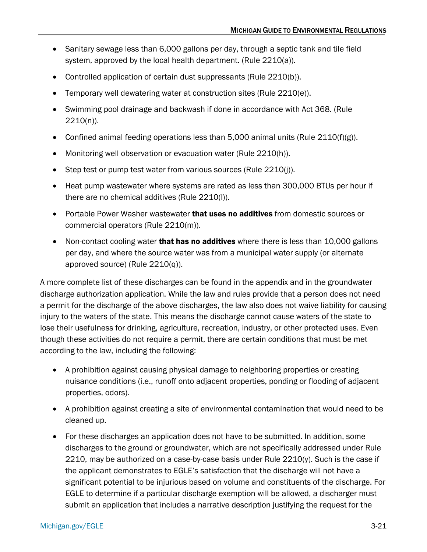- Sanitary sewage less than 6,000 gallons per day, through a septic tank and tile field system, approved by the local health department. (Rule 2210(a)).
- Controlled application of certain dust suppressants (Rule 2210(b)).
- Temporary well dewatering water at construction sites (Rule 2210(e)).
- Swimming pool drainage and backwash if done in accordance with Act 368. (Rule 2210(n)).
- Confined animal feeding operations less than 5,000 animal units (Rule 2110(f)(g)).
- Monitoring well observation or evacuation water (Rule 2210(h)).
- Step test or pump test water from various sources (Rule 2210(j)).
- Heat pump wastewater where systems are rated as less than 300,000 BTUs per hour if there are no chemical additives (Rule 2210(l)).
- Portable Power Washer wastewater **that uses no additives** from domestic sources or commercial operators (Rule 2210(m)).
- Non-contact cooling water that has no additives where there is less than 10,000 gallons per day, and where the source water was from a municipal water supply (or alternate approved source) (Rule 2210(q)).

A more complete list of these discharges can be found in the appendix and in the groundwater discharge authorization application. While the law and rules provide that a person does not need a permit for the discharge of the above discharges, the law also does not waive liability for causing injury to the waters of the state. This means the discharge cannot cause waters of the state to lose their usefulness for drinking, agriculture, recreation, industry, or other protected uses. Even though these activities do not require a permit, there are certain conditions that must be met according to the law, including the following:

- A prohibition against causing physical damage to neighboring properties or creating nuisance conditions (i.e., runoff onto adjacent properties, ponding or flooding of adjacent properties, odors).
- A prohibition against creating a site of environmental contamination that would need to be cleaned up.
- For these discharges an application does not have to be submitted. In addition, some discharges to the ground or groundwater, which are not specifically addressed under Rule 2210, may be authorized on a case-by-case basis under Rule  $2210(y)$ . Such is the case if the applicant demonstrates to EGLE's satisfaction that the discharge will not have a significant potential to be injurious based on volume and constituents of the discharge. For EGLE to determine if a particular discharge exemption will be allowed, a discharger must submit an application that includes a narrative description justifying the request for the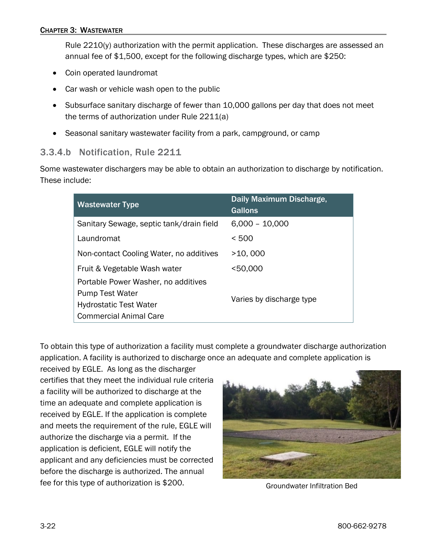Rule 2210(y) authorization with the permit application. These discharges are assessed an annual fee of \$1,500, except for the following discharge types, which are \$250:

- Coin operated laundromat
- Car wash or vehicle wash open to the public
- Subsurface sanitary discharge of fewer than 10,000 gallons per day that does not meet the terms of authorization under Rule 2211(a)
- Seasonal sanitary wastewater facility from a park, campground, or camp

### 3.3.4.b Notification, Rule 2211

Some wastewater dischargers may be able to obtain an authorization to discharge by notification. These include:

| <b>Wastewater Type</b>                   | Daily Maximum Discharge,<br>Gallons |  |
|------------------------------------------|-------------------------------------|--|
| Sanitary Sewage, septic tank/drain field | $6,000 - 10,000$                    |  |
| Laundromat                               | < 500                               |  |
| Non-contact Cooling Water, no additives  | >10,000                             |  |
| Fruit & Vegetable Wash water             | $<$ 50,000                          |  |
| Portable Power Washer, no additives      |                                     |  |
| <b>Pump Test Water</b>                   |                                     |  |
| <b>Hydrostatic Test Water</b>            | Varies by discharge type            |  |
| <b>Commercial Animal Care</b>            |                                     |  |

To obtain this type of authorization a facility must complete a groundwater discharge authorization application. A facility is authorized to discharge once an adequate and complete application is

received by EGLE. As long as the discharger certifies that they meet the individual rule criteria a facility will be authorized to discharge at the time an adequate and complete application is received by EGLE. If the application is complete and meets the requirement of the rule, EGLE will authorize the discharge via a permit. If the application is deficient, EGLE will notify the applicant and any deficiencies must be corrected before the discharge is authorized. The annual fee for this type of authorization is \$200. Groundwater Infiltration Bed

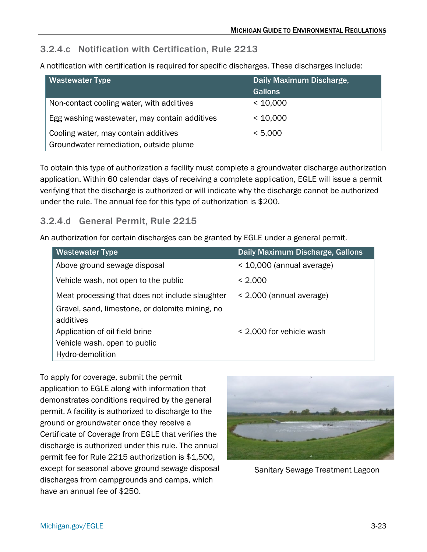## 3.2.4.c Notification with Certification, Rule 2213

A notification with certification is required for specific discharges. These discharges include:

| <b>Wastewater Type</b>                        | Daily Maximum Discharge,<br><b>Gallons</b> |
|-----------------------------------------------|--------------------------------------------|
| Non-contact cooling water, with additives     | < 10,000                                   |
| Egg washing wastewater, may contain additives | < 10,000                                   |
| Cooling water, may contain additives          | < 5,000                                    |
| Groundwater remediation, outside plume        |                                            |

To obtain this type of authorization a facility must complete a groundwater discharge authorization application. Within 60 calendar days of receiving a complete application, EGLE will issue a permit verifying that the discharge is authorized or will indicate why the discharge cannot be authorized under the rule. The annual fee for this type of authorization is \$200.

# 3.2.4.d General Permit, Rule 2215

An authorization for certain discharges can be granted by EGLE under a general permit.

| <b>Wastewater Type</b>                                       | <b>Daily Maximum Discharge, Gallons</b> |
|--------------------------------------------------------------|-----------------------------------------|
| Above ground sewage disposal                                 | $<$ 10,000 (annual average)             |
| Vehicle wash, not open to the public                         | < 2,000                                 |
| Meat processing that does not include slaughter              | < 2,000 (annual average)                |
| Gravel, sand, limestone, or dolomite mining, no<br>additives |                                         |
| Application of oil field brine                               | < 2,000 for vehicle wash                |
| Vehicle wash, open to public                                 |                                         |
| Hydro-demolition                                             |                                         |

To apply for coverage, submit the permit application to EGLE along with information that demonstrates conditions required by the general permit. A facility is authorized to discharge to the ground or groundwater once they receive a Certificate of Coverage from EGLE that verifies the discharge is authorized under this rule. The annual permit fee for Rule 2215 authorization is \$1,500, except for seasonal above ground sewage disposal discharges from campgrounds and camps, which have an annual fee of \$250.



Sanitary Sewage Treatment Lagoon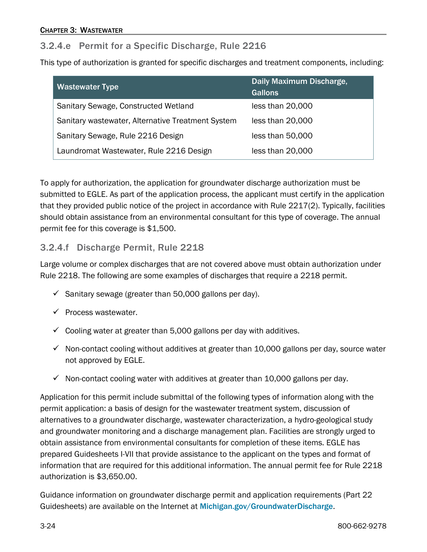### 3.2.4.e Permit for a Specific Discharge, Rule 2216

This type of authorization is granted for specific discharges and treatment components, including:

| <b>Wastewater Type</b>                            | Daily Maximum Discharge, |  |
|---------------------------------------------------|--------------------------|--|
|                                                   | <b>Gallons</b>           |  |
| Sanitary Sewage, Constructed Wetland              | less than 20,000         |  |
| Sanitary wastewater, Alternative Treatment System | less than 20,000         |  |
| Sanitary Sewage, Rule 2216 Design                 | less than 50,000         |  |
| Laundromat Wastewater, Rule 2216 Design           | less than 20,000         |  |

To apply for authorization, the application for groundwater discharge authorization must be submitted to EGLE. As part of the application process, the applicant must certify in the application that they provided public notice of the project in accordance with Rule 2217(2). Typically, facilities should obtain assistance from an environmental consultant for this type of coverage. The annual permit fee for this coverage is \$1,500.

### 3.2.4.f Discharge Permit, Rule 2218

Large volume or complex discharges that are not covered above must obtain authorization under Rule 2218. The following are some examples of discharges that require a 2218 permit.

- $\checkmark$  Sanitary sewage (greater than 50,000 gallons per day).
- $\checkmark$  Process wastewater.
- $\checkmark$  Cooling water at greater than 5,000 gallons per day with additives.
- $\checkmark$  Non-contact cooling without additives at greater than 10,000 gallons per day, source water not approved by EGLE.
- $\checkmark$  Non-contact cooling water with additives at greater than 10,000 gallons per day.

Application for this permit include submittal of the following types of information along with the permit application: a basis of design for the wastewater treatment system, discussion of alternatives to a groundwater discharge, wastewater characterization, a hydro-geological study and groundwater monitoring and a discharge management plan. Facilities are strongly urged to obtain assistance from environmental consultants for completion of these items. EGLE has prepared Guidesheets I-VII that provide assistance to the applicant on the types and format of information that are required for this additional information. The annual permit fee for Rule 2218 authorization is \$3,650.00.

Guidance information on groundwater discharge permit and application requirements (Part 22 Guidesheets) are available on the Internet at [Michigan.gov/GroundwaterDischarge](https://www.michigan.gov/egle/about/organization/Water-Resources/groundwater-discharge).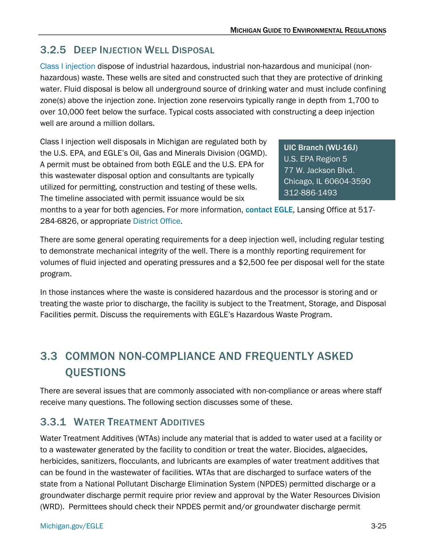# <span id="page-24-0"></span>3.2.5 DEEP INJECTION WELL DISPOSAL

Class I injection [dispose of industrial hazardous, industrial non-hazardous and municipal \(non](http://www.epa.gov/r5water/uic/cl1sites.htm)[hazardous\) waste. These wells](http://www.epa.gov/r5water/uic/cl1sites.htm) are sited and constructed such that they are protective of drinking water. Fluid disposal is below all underground source of drinking water and must include confining zone(s) above the injection zone. Injection zone reservoirs typically range in depth from 1,700 to over 10,000 feet below the surface. Typical costs associated with constructing a deep injection well are around a million dollars.

Class I injection well disposals in Michigan are regulated both by the U.S. EPA, and EGLE's Oil, Gas and Minerals Division (OGMD). A permit must be obtained from both EGLE and the U.S. EPA for this wastewater disposal option and consultants are typically utilized for permitting, construction and testing of these wells. The timeline associated with permit issuance would be six

[UIC Branch \(WU-16J\)](http://www.epa.gov/r5water/uic/uicpartners.htm#regional) U.S. EPA Region 5 77 W. Jackson Blvd. Chicago, IL 60604-3590 312-886-1493

months to a year for both agencies. For more information, [contact EGLE](http://www.michigan.gov/deq/0,1607,7-135-3311_4111_4230---,00.html), Lansing Office at 517- 284-6826, or appropriate [District Office.](https://www.michigan.gov/egle/0,9429,7-135-3306_3329-12306--,00.html)

There are some general operating requirements for a deep injection well, including regular testing to demonstrate mechanical integrity of the well. There is a monthly reporting requirement for volumes of fluid injected and operating pressures and a \$2,500 fee per disposal well for the state program.

In those instances where the waste is considered hazardous and the processor is storing and or treating the waste prior to discharge, the facility is subject to the Treatment, Storage, and Disposal Facilities permit. Discuss the requirements with EGLE's Hazardous Waste Program.

# <span id="page-24-1"></span>3.3 COMMON NON-COMPLIANCE AND FREQUENTLY ASKED QUESTIONS

There are several issues that are commonly associated with non-compliance or areas where staff receive many questions. The following section discusses some of these.

# <span id="page-24-2"></span>3.3.1 WATER TREATMENT ADDITIVES

Water Treatment Additives (WTAs) include any material that is added to water used at a facility or to a wastewater generated by the facility to condition or treat the water. Biocides, algaecides, herbicides, sanitizers, flocculants, and lubricants are examples of water treatment additives that can be found in the wastewater of facilities. WTAs that are discharged to surface waters of the state from a National Pollutant Discharge Elimination System (NPDES) permitted discharge or a groundwater discharge permit require prior review and approval by the Water Resources Division (WRD). Permittees should check their NPDES permit and/or groundwater discharge permit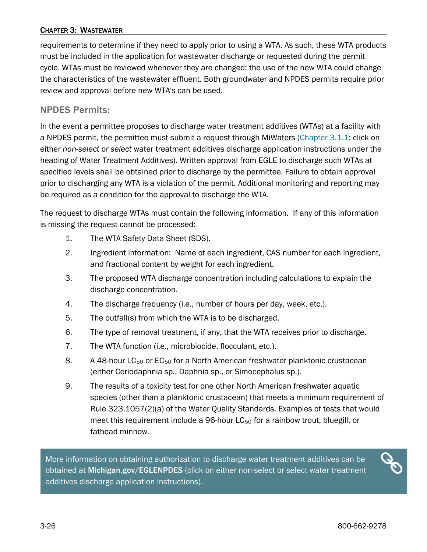### CHAPTER 3: WASTEWATER

requirements to determine if they need to apply prior to using a WTA. As such, these WTA products must be included in the application for wastewater discharge or requested during the permit cycle. WTAs must be reviewed whenever they are changed; the use of the new WTA could change the characteristics of the wastewater effluent. Both groundwater and NPDES permits require prior review and approval before new WTA's can be used.

### NPDES Permits:

In the event a permittee proposes to discharge water treatment additives (WTAs) at a facility with a NPDES permit, the permittee must submit a request through MiWaters [\(Chapter 3.1.1;](#page-7-0) click on either *non-select* or *select* water treatment additives discharge application instructions under the heading of Water Treatment Additives). Written approval from EGLE to discharge such WTAs at specified levels shall be obtained prior to discharge by the permittee. Failure to obtain approval prior to discharging any WTA is a violation of the permit. Additional monitoring and reporting may be required as a condition for the approval to discharge the WTA.

The request to discharge WTAs must contain the following information. If any of this information is missing the request cannot be processed:

- 1. The WTA Safety Data Sheet (SDS).
- 2. Ingredient information: Name of each ingredient, CAS number for each ingredient, and fractional content by weight for each ingredient.
- 3. The proposed WTA discharge concentration including calculations to explain the discharge concentration.
- 4. The discharge frequency (i.e., number of hours per day, week, etc.).
- 5. The outfall(s) from which the WTA is to be discharged.
- 6. The type of removal treatment, if any, that the WTA receives prior to discharge.
- 7. The WTA function (i.e., microbiocide, flocculant, etc.).
- 8. A 48-hour  $LC_{50}$  or  $EC_{50}$  for a North American freshwater planktonic crustacean (either Ceriodaphnia sp., Daphnia sp., or Simocephalus sp.).
- 9. The results of a toxicity test for one other North American freshwater aquatic species (other than a planktonic crustacean) that meets a minimum requirement of Rule 323.1057(2)(a) of the Water Quality Standards. Examples of tests that would meet this requirement include a 96-hour  $LC_{50}$  for a rainbow trout, bluegill, or fathead minnow.

More information on obtaining authorization to discharge water treatment additives can be obtained at [Michigan.gov/EGLENPDES](http://www.michigan.gov/EGLEnpdes) (click on either non-select or select water treatment additives discharge application instructions).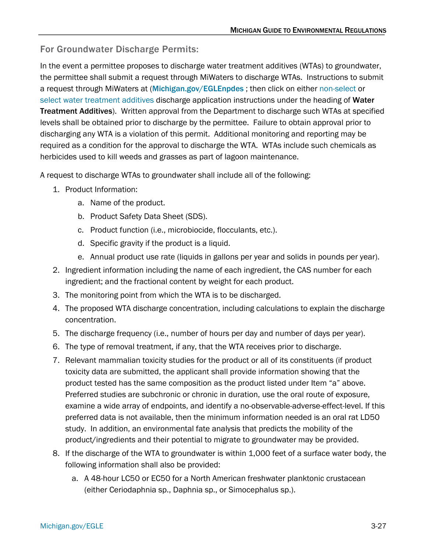## For Groundwater Discharge Permits:

In the event a permittee proposes to discharge water treatment additives (WTAs) to groundwater, the permittee shall submit a request through MiWaters to discharge WTAs. Instructions to submit a request through MiWaters at ([Michigan.gov/EGLEnpdes](http://www.michigan.gov/EGLEnpdes) ; then click on either [non-select o](https://www.michigan.gov/egle/about/organization/Water-Resources/npdes/non-select-water-treatment-additives)r [select water treatment additives](https://www.michigan.gov/egle/about/organization/water-resources/npdes/select-water-treatment-additives) discharge application instructions under the heading of Water Treatment Additives). Written approval from the Department to discharge such WTAs at specified levels shall be obtained prior to discharge by the permittee. Failure to obtain approval prior to discharging any WTA is a violation of this permit. Additional monitoring and reporting may be required as a condition for the approval to discharge the WTA. WTAs include such chemicals as herbicides used to kill weeds and grasses as part of lagoon maintenance.

A request to discharge WTAs to groundwater shall include all of the following:

- 1. Product Information:
	- a. Name of the product.
	- b. Product Safety Data Sheet (SDS).
	- c. Product function (i.e., microbiocide, flocculants, etc.).
	- d. Specific gravity if the product is a liquid.
	- e. Annual product use rate (liquids in gallons per year and solids in pounds per year).
- 2. Ingredient information including the name of each ingredient, the CAS number for each ingredient; and the fractional content by weight for each product.
- 3. The monitoring point from which the WTA is to be discharged.
- 4. The proposed WTA discharge concentration, including calculations to explain the discharge concentration.
- 5. The discharge frequency (i.e., number of hours per day and number of days per year).
- 6. The type of removal treatment, if any, that the WTA receives prior to discharge.
- 7. Relevant mammalian toxicity studies for the product or all of its constituents (if product toxicity data are submitted, the applicant shall provide information showing that the product tested has the same composition as the product listed under Item "a" above. Preferred studies are subchronic or chronic in duration, use the oral route of exposure, examine a wide array of endpoints, and identify a no-observable-adverse-effect-level. If this preferred data is not available, then the minimum information needed is an oral rat LD50 study. In addition, an environmental fate analysis that predicts the mobility of the product/ingredients and their potential to migrate to groundwater may be provided.
- 8. If the discharge of the WTA to groundwater is within 1,000 feet of a surface water body, the following information shall also be provided:
	- a. A 48-hour LC50 or EC50 for a North American freshwater planktonic crustacean (either Ceriodaphnia sp., Daphnia sp., or Simocephalus sp.).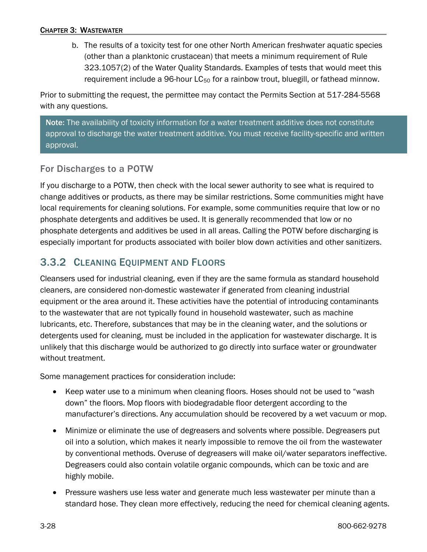b. The results of a toxicity test for one other North American freshwater aquatic species (other than a planktonic crustacean) that meets a minimum requirement of Rule 323.1057(2) of the Water Quality Standards. Examples of tests that would meet this requirement include a 96-hour  $LC_{50}$  for a rainbow trout, bluegill, or fathead minnow.

Prior to submitting the request, the permittee may contact the Permits Section at 517-284-5568 with any questions.

Note: The availability of toxicity information for a water treatment additive does not constitute approval to discharge the water treatment additive. You must receive facility-specific and written approval.

### For Discharges to a POTW

If you discharge to a POTW, then check with the local sewer authority to see what is required to change additives or products, as there may be similar restrictions. Some communities might have local requirements for cleaning solutions. For example, some communities require that low or no phosphate detergents and additives be used. It is generally recommended that low or no phosphate detergents and additives be used in all areas. Calling the POTW before discharging is especially important for products associated with boiler blow down activities and other sanitizers.

# <span id="page-27-0"></span>3.3.2 CLEANING EQUIPMENT AND FLOORS

Cleansers used for industrial cleaning, even if they are the same formula as standard household cleaners, are considered non-domestic wastewater if generated from cleaning industrial equipment or the area around it. These activities have the potential of introducing contaminants to the wastewater that are not typically found in household wastewater, such as machine lubricants, etc. Therefore, substances that may be in the cleaning water, and the solutions or detergents used for cleaning, must be included in the application for wastewater discharge. It is unlikely that this discharge would be authorized to go directly into surface water or groundwater without treatment.

Some management practices for consideration include:

- Keep water use to a minimum when cleaning floors. Hoses should not be used to "wash down" the floors. Mop floors with biodegradable floor detergent according to the manufacturer's directions. Any accumulation should be recovered by a wet vacuum or mop.
- Minimize or eliminate the use of degreasers and solvents where possible. Degreasers put oil into a solution, which makes it nearly impossible to remove the oil from the wastewater by conventional methods. Overuse of degreasers will make oil/water separators ineffective. Degreasers could also contain volatile organic compounds, which can be toxic and are highly mobile.
- Pressure washers use less water and generate much less wastewater per minute than a standard hose. They clean more effectively, reducing the need for chemical cleaning agents.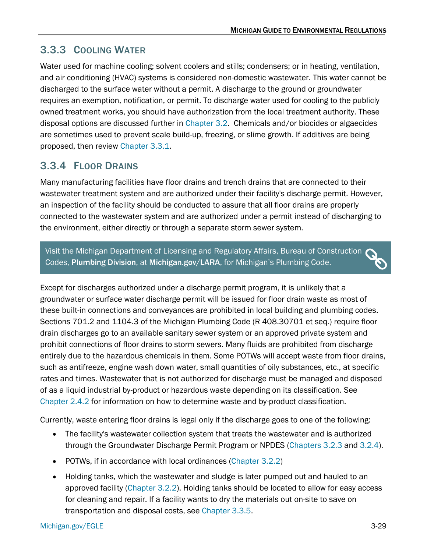# <span id="page-28-0"></span>3.3.3 COOLING WATER

Water used for machine cooling; solvent coolers and stills; condensers; or in heating, ventilation, and air conditioning (HVAC) systems is considered non-domestic wastewater. This water cannot be discharged to the surface water without a permit. A discharge to the ground or groundwater requires an exemption, notification, or permit. To discharge water used for cooling to the publicly owned treatment works, you should have authorization from the local treatment authority. These disposal options are discussed further in [Chapter 3.2.](#page-7-0) Chemicals and/or biocides or algaecides are sometimes used to prevent scale build-up, freezing, or slime growth. If additives are being proposed, then review [Chapter 3.3.1.](#page-24-2)

# <span id="page-28-1"></span>3.3.4 FLOOR DRAINS

Many manufacturing facilities have floor drains and trench drains that are connected to their wastewater treatment system and are authorized under their facility's discharge permit. However, an inspection of the facility should be conducted to assure that all floor drains are properly connected to the wastewater system and are authorized under a permit instead of discharging to the environment, either directly or through a separate storm sewer system.

Visit the Michigan Department of Licensing and Regulatory Affairs, Bureau of Construction  $\bigcirc$ Codes, [Plumbing Division](https://www.michigan.gov/lara/bureau-list/bcc/divisions/plumbing), at [Michigan.gov/LARA](https://www.michigan.gov/lara), for Michigan's Plumbing Code.

Except for discharges authorized under a discharge permit program, it is unlikely that a groundwater or surface water discharge permit will be issued for floor drain waste as most of these built-in connections and conveyances are prohibited in local building and plumbing codes. Sections 701.2 and 1104.3 of the Michigan Plumbing Code (R 408.30701 et seq.) require floor drain discharges go to an available sanitary sewer system or an approved private system and prohibit connections of floor drains to storm sewers. Many fluids are prohibited from discharge entirely due to the hazardous chemicals in them. Some POTWs will accept waste from floor drains, such as antifreeze, engine wash down water, small quantities of oily substances, etc., at specific rates and times. Wastewater that is not authorized for discharge must be managed and disposed of as a liquid industrial by-product or hazardous waste depending on its classification. See [Chapter 2.4.2](https://www.michigan.gov/egle/-/media/Project/Websites/egle/Documents/Regulatory-Assistance/Guidebooks/MI-Guide-to-Environmental-Regulations/MI-Guide-Environmental-Regulations-Ch2-Waste.pdf#page=47) for information on how to determine waste and by-product classification.

Currently, waste entering floor drains is legal only if the discharge goes to one of the following:

- The facility's wastewater collection system that treats the wastewater and is authorized through the Groundwater Discharge Permit Program or NPDES [\(Chapters 3.2.3](#page-12-0) and [3.2.4\)](#page-16-0).
- POTWs, if in accordance with local ordinances [\(Chapter 3.2.2\)](#page-11-0)
- Holding tanks, which the wastewater and sludge is later pumped out and hauled to an approved facility [\(Chapter 3.2.2\)](#page-11-0). Holding tanks should be located to allow for easy access for cleaning and repair. If a facility wants to dry the materials out on-site to save on transportation and disposal costs, see [Chapter 3.3.5.](#page-29-0)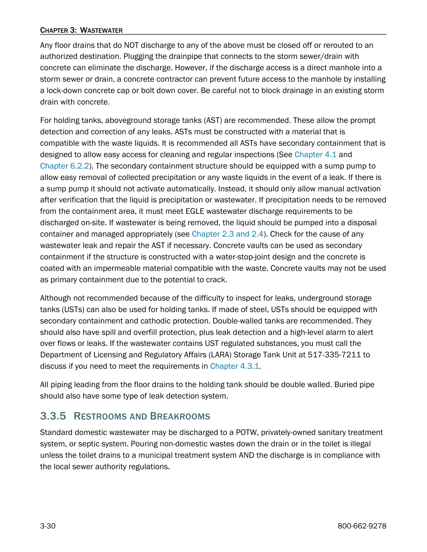#### CHAPTER 3: WASTEWATER

Any floor drains that do NOT discharge to any of the above must be closed off or rerouted to an authorized destination. Plugging the drainpipe that connects to the storm sewer/drain with concrete can eliminate the discharge. However, if the discharge access is a direct manhole into a storm sewer or drain, a concrete contractor can prevent future access to the manhole by installing a lock-down concrete cap or bolt down cover. Be careful not to block drainage in an existing storm drain with concrete.

For holding tanks, aboveground storage tanks (AST) are recommended. These allow the prompt detection and correction of any leaks. ASTs must be constructed with a material that is compatible with the waste liquids. It is recommended all ASTs have secondary containment that is designed to allow easy access for cleaning and regular inspections (See [Chapter](https://www.michigan.gov/egle/-/media/Project/Websites/egle/Documents/Regulatory-Assistance/Guidebooks/MI-Guide-to-Environmental-Regulations/MI-Guide-Environmental-Regulations-Ch4-Transport.pdf#page=5) 4.1 and [Chapter](https://www.michigan.gov/egle/-/media/Project/Websites/egle/Documents/Regulatory-Assistance/Guidebooks/MI-Guide-to-Environmental-Regulations/MI-Guide-Environmental-Regulations-Ch6-Environmental-Emergencies.pdf#page=11) 6.2.2). The secondary containment structure should be equipped with a sump pump to allow easy removal of collected precipitation or any waste liquids in the event of a leak. If there is a sump pump it should not activate automatically. Instead, it should only allow manual activation after verification that the liquid is precipitation or wastewater. If precipitation needs to be removed from the containment area, it must meet EGLE wastewater discharge requirements to be discharged on-site. If wastewater is being removed, the liquid should be pumped into a disposal container and managed appropriately (see Chapter [2.3 and 2.4\)](https://www.michigan.gov/egle/-/media/Project/Websites/egle/Documents/Regulatory-Assistance/Guidebooks/MI-Guide-to-Environmental-Regulations/MI-Guide-Environmental-Regulations-Ch2-Waste.pdf#page=23). Check for the cause of any wastewater leak and repair the AST if necessary. Concrete vaults can be used as secondary containment if the structure is constructed with a water-stop-joint design and the concrete is coated with an impermeable material compatible with the waste. Concrete vaults may not be used as primary containment due to the potential to crack.

Although not recommended because of the difficulty to inspect for leaks, underground storage tanks (USTs) can also be used for holding tanks. If made of steel, USTs should be equipped with secondary containment and cathodic protection. Double-walled tanks are recommended. They should also have spill and overfill protection, plus leak detection and a high-level alarm to alert over flows or leaks. If the wastewater contains UST regulated substances, you must call the Department of Licensing and Regulatory Affairs (LARA) Storage Tank Unit at 517-335-7211 to discuss if you need to meet the requirements in [Chapter](https://www.michigan.gov/egle/-/media/Project/Websites/egle/Documents/Regulatory-Assistance/Guidebooks/MI-Guide-to-Environmental-Regulations/MI-Guide-Environmental-Regulations-Ch4-Transport.pdf#page=9) 4.3.1.

All piping leading from the floor drains to the holding tank should be double walled. Buried pipe should also have some type of leak detection system.

## <span id="page-29-0"></span>3.3.5 RESTROOMS AND BREAKROOMS

<span id="page-29-1"></span>Standard domestic wastewater may be discharged to a POTW, privately-owned sanitary treatment system, or septic system. Pouring non-domestic wastes down the drain or in the toilet is illegal unless the toilet drains to a municipal treatment system AND the discharge is in compliance with the local sewer authority regulations.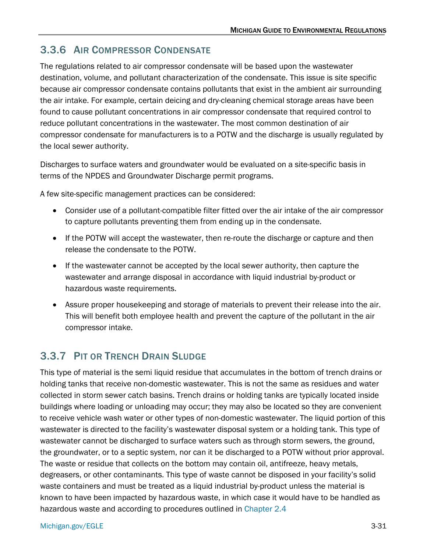# 3.3.6 AIR COMPRESSOR CONDENSATE

The regulations related to air compressor condensate will be based upon the wastewater destination, volume, and pollutant characterization of the condensate. This issue is site specific because air compressor condensate contains pollutants that exist in the ambient air surrounding the air intake. For example, certain deicing and dry-cleaning chemical storage areas have been found to cause pollutant concentrations in air compressor condensate that required control to reduce pollutant concentrations in the wastewater. The most common destination of air compressor condensate for manufacturers is to a POTW and the discharge is usually regulated by the local sewer authority.

Discharges to surface waters and groundwater would be evaluated on a site-specific basis in terms of the NPDES and Groundwater Discharge permit programs.

A few site-specific management practices can be considered:

- Consider use of a pollutant-compatible filter fitted over the air intake of the air compressor to capture pollutants preventing them from ending up in the condensate.
- If the POTW will accept the wastewater, then re-route the discharge or capture and then release the condensate to the POTW.
- If the wastewater cannot be accepted by the local sewer authority, then capture the wastewater and arrange disposal in accordance with liquid industrial by-product or hazardous waste requirements.
- Assure proper housekeeping and storage of materials to prevent their release into the air. This will benefit both employee health and prevent the capture of the pollutant in the air compressor intake.

# <span id="page-30-0"></span>3.3.7 PIT OR TRENCH DRAIN SLUDGE

This type of material is the semi liquid residue that accumulates in the bottom of trench drains or holding tanks that receive non-domestic wastewater. This is not the same as residues and water collected in storm sewer catch basins. Trench drains or holding tanks are typically located inside buildings where loading or unloading may occur; they may also be located so they are convenient to receive vehicle wash water or other types of non-domestic wastewater. The liquid portion of this wastewater is directed to the facility's wastewater disposal system or a holding tank. This type of wastewater cannot be discharged to surface waters such as through storm sewers, the ground, the groundwater, or to a septic system, nor can it be discharged to a POTW without prior approval. The waste or residue that collects on the bottom may contain oil, antifreeze, heavy metals, degreasers, or other contaminants. This type of waste cannot be disposed in your facility's solid waste containers and must be treated as a liquid industrial by-product unless the material is known to have been impacted by hazardous waste, in which case it would have to be handled as hazardous waste and according to procedures outlined in [Chapter 2.4](https://www.michigan.gov/egle/-/media/Project/Websites/egle/Documents/Regulatory-Assistance/Guidebooks/MI-Guide-to-Environmental-Regulations/MI-Guide-Environmental-Regulations-Ch2-Waste.pdf#page=34)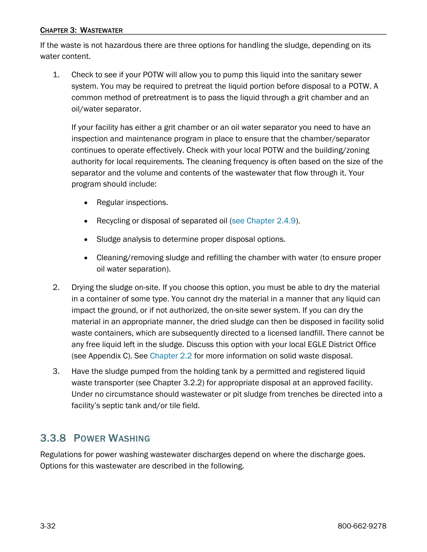#### CHAPTER 3: WASTEWATER

If the waste is not hazardous there are three options for handling the sludge, depending on its water content.

1. Check to see if your POTW will allow you to pump this liquid into the sanitary sewer system. You may be required to pretreat the liquid portion before disposal to a POTW. A common method of pretreatment is to pass the liquid through a grit chamber and an oil/water separator.

If your facility has either a grit chamber or an oil water separator you need to have an inspection and maintenance program in place to ensure that the chamber/separator continues to operate effectively. Check with your local POTW and the building/zoning authority for local requirements. The cleaning frequency is often based on the size of the separator and the volume and contents of the wastewater that flow through it. Your program should include:

- Regular inspections.
- Recycling or disposal of separated oil [\(see Chapter 2.4.9\)](https://www.michigan.gov/egle/-/media/Project/Websites/egle/Documents/Regulatory-Assistance/Guidebooks/MI-Guide-to-Environmental-Regulations/MI-Guide-Environmental-Regulations-Ch2-Waste.pdf#page=81).
- Sludge analysis to determine proper disposal options.
- Cleaning/removing sludge and refilling the chamber with water (to ensure proper oil water separation).
- 2. Drying the sludge on-site. If you choose this option, you must be able to dry the material in a container of some type. You cannot dry the material in a manner that any liquid can impact the ground, or if not authorized, the on-site sewer system. If you can dry the material in an appropriate manner, the dried sludge can then be disposed in facility solid waste containers, which are subsequently directed to a licensed landfill. There cannot be any free liquid left in the sludge. Discuss this option with your local EGLE District Office (see Appendix C). See [Chapter 2.2](https://www.michigan.gov/egle/-/media/Project/Websites/egle/Documents/Regulatory-Assistance/Guidebooks/MI-Guide-to-Environmental-Regulations/MI-Guide-Environmental-Regulations-Ch2-Waste.pdf#page=18) for more information on solid waste disposal.
- 3. Have the sludge pumped from the holding tank by a permitted and registered liquid waste transporter (see Chapter 3.2.2) for appropriate disposal at an approved facility. Under no circumstance should wastewater or pit sludge from trenches be directed into a facility's septic tank and/or tile field.

## <span id="page-31-0"></span>3.3.8 POWER WASHING

Regulations for power washing wastewater discharges depend on where the discharge goes. Options for this wastewater are described in the following.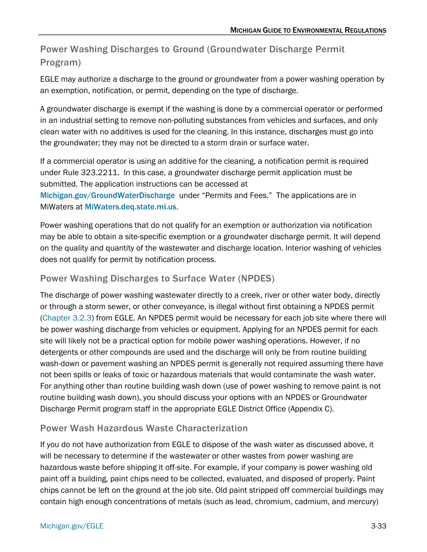# Power Washing Discharges to Ground (Groundwater Discharge Permit Program)

EGLE may authorize a discharge to the ground or groundwater from a power washing operation by an exemption, notification, or permit, depending on the type of discharge.

A groundwater discharge is exempt if the washing is done by a commercial operator or performed in an industrial setting to remove non-polluting substances from vehicles and surfaces, and only clean water with no additives is used for the cleaning. In this instance, discharges must go into the groundwater; they may not be directed to a storm drain or surface water.

If a commercial operator is using an additive for the cleaning, a notification permit is required under Rule 323.2211. In this case, a groundwater discharge permit application must be submitted. The application instructions can be accessed at

[Michigan.gov/GroundWaterDischarge](http://www.michigan.gov/GroundWaterDischarge) under "Permits and Fees." The applications are in MiWaters at [MiWaters.deq.state.mi.us](http://miwaters.deq.state.mi.us/).

Power washing operations that do not qualify for an exemption or authorization via notification may be able to obtain a site-specific exemption or a groundwater discharge permit. It will depend on the quality and quantity of the wastewater and discharge location. Interior washing of vehicles does not qualify for permit by notification process.

## Power Washing Discharges to Surface Water (NPDES)

The discharge of power washing wastewater directly to a creek, river or other water body, directly or through a storm sewer, or other conveyance, is illegal without first obtaining a NPDES permit [\(Chapter 3.2.3\)](#page-12-0) from EGLE. An NPDES permit would be necessary for each job site where there will be power washing discharge from vehicles or equipment. Applying for an NPDES permit for each site will likely not be a practical option for mobile power washing operations. However, if no detergents or other compounds are used and the discharge will only be from routine building wash-down or pavement washing an NPDES permit is generally not required assuming there have not been spills or leaks of toxic or hazardous materials that would contaminate the wash water. For anything other than routine building wash down (use of power washing to remove paint is not routine building wash down), you should discuss your options with an NPDES or Groundwater Discharge Permit program staff in the appropriate EGLE District Office (Appendix C).

### Power Wash Hazardous Waste Characterization

If you do not have authorization from EGLE to dispose of the wash water as discussed above, it will be necessary to determine if the wastewater or other wastes from power washing are hazardous waste before shipping it off-site. For example, if your company is power washing old paint off a building, paint chips need to be collected, evaluated, and disposed of properly. Paint chips cannot be left on the ground at the job site. Old paint stripped off commercial buildings may contain high enough concentrations of metals (such as lead, chromium, cadmium, and mercury)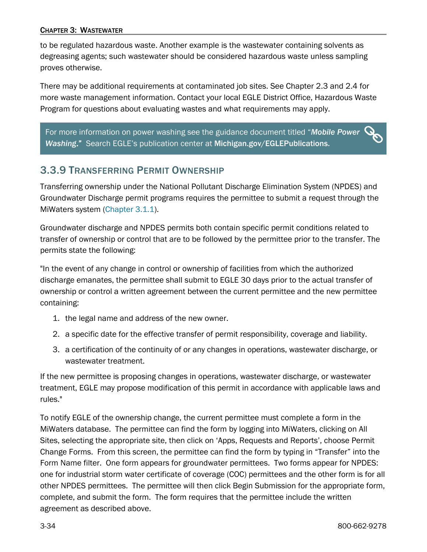to be regulated hazardous waste. Another example is the wastewater containing solvents as degreasing agents; such wastewater should be considered hazardous waste unless sampling proves otherwise.

There may be additional requirements at contaminated job sites. See Chapter 2.3 and 2.4 for more waste management information. Contact your local EGLE District Office, Hazardous Waste Program for questions about evaluating wastes and what requirements may apply.

 $\boldsymbol{O}$ For more information on power washing see the guidance document titled "*[Mobile Power](http://www.michigan.gov/documents/deq/deq-ead-tas-powrwash_320867_7.pdf)  [Washing](http://www.michigan.gov/documents/deq/deq-ead-tas-powrwash_320867_7.pdf)*." Search EGLE's publication center at [Michigan.gov/EGLEPublications.](https://www.michigan.gov/egle/outreach/publications)

# <span id="page-33-0"></span>3.3.9 TRANSFERRING PERMIT OWNERSHIP

Transferring ownership under the National Pollutant Discharge Elimination System (NPDES) and Groundwater Discharge permit programs requires the permittee to submit a request through the MiWaters system [\(Chapter 3.1.1\)](#page-7-0).

Groundwater discharge and NPDES permits both contain specific permit conditions related to transfer of ownership or control that are to be followed by the permittee prior to the transfer. The permits state the following:

"In the event of any change in control or ownership of facilities from which the authorized discharge emanates, the permittee shall submit to EGLE 30 days prior to the actual transfer of ownership or control a written agreement between the current permittee and the new permittee containing:

- 1. the legal name and address of the new owner.
- 2. a specific date for the effective transfer of permit responsibility, coverage and liability.
- 3. a certification of the continuity of or any changes in operations, wastewater discharge, or wastewater treatment.

If the new permittee is proposing changes in operations, wastewater discharge, or wastewater treatment, EGLE may propose modification of this permit in accordance with applicable laws and rules."

To notify EGLE of the ownership change, the current permittee must complete a form in the MiWaters database. The permittee can find the form by logging into MiWaters, clicking on All Sites, selecting the appropriate site, then click on 'Apps, Requests and Reports', choose Permit Change Forms. From this screen, the permittee can find the form by typing in "Transfer" into the Form Name filter. One form appears for groundwater permittees. Two forms appear for NPDES: one for industrial storm water certificate of coverage (COC) permittees and the other form is for all other NPDES permittees. The permittee will then click Begin Submission for the appropriate form, complete, and submit the form. The form requires that the permittee include the written agreement as described above.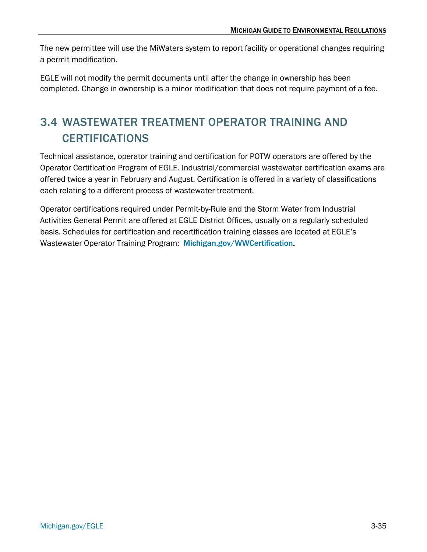The new permittee will use the MiWaters system to report facility or operational changes requiring a permit modification.

EGLE will not modify the permit documents until after the change in ownership has been completed. Change in ownership is a minor modification that does not require payment of a fee.

# <span id="page-34-0"></span>3.4 WASTEWATER TREATMENT OPERATOR TRAINING AND CERTIFICATIONS

Technical assistance, operator training and certification for POTW operators are offered by the Operator Certification Program of EGLE. Industrial/commercial wastewater certification exams are offered twice a year in February and August. Certification is offered in a variety of classifications each relating to a different process of wastewater treatment.

Operator certifications required under Permit-by-Rule and the Storm Water from Industrial Activities General Permit are offered at EGLE District Offices, usually on a regularly scheduled basis. Schedules for certification and recertification training classes are located at EGLE's Wastewater Operator Training Program: [Michigan.gov/WWCertification](https://www.michigan.gov/egle/about/organization/water-resources/op-cert-wastewater).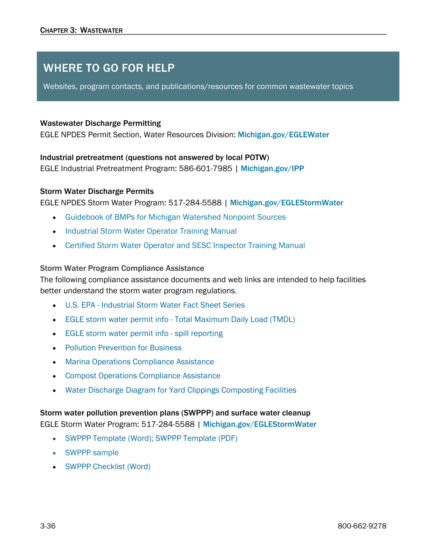# WHERE TO GO FOR HELP

Websites, program contacts, and publications/resources for common wastewater topics

#### Wastewater Discharge Permitting

EGLE NPDES Permit Section, Water Resources Division: [Michigan.gov/EGLEWater](http://www.michigan.gov/EGLEwater)

#### Industrial pretreatment (questions not answered by local POTW)

EGLE Industrial Pretreatment Program: 586-601-7985 | [Michigan.gov/IPP](http://www.michigan.gov/ipp)

#### Storm Water Discharge Permits

EGLE NPDES Storm Water Program: 517-284-5588 | [Michigan.gov/EGLEStormWater](http://www.michigan.gov/EGLEstormwater)

- [Guidebook of BMPs for Michigan Watershed Nonpoint Sources](https://www.michigan.gov/egle/about/organization/Water-Resources/nonpoint-source/BMP-manual-and-design-references)
- [Industrial Storm Water Operator Training Manual](https://www.michigan.gov/egle/-/media/Project/Websites/egle/Documents/Programs/WRD/Storm-Water-Industrial/training-manual.pdf)
- [Certified Storm Water Operator and SESC Inspector Training Manual](https://www.michigan.gov/egle/about/organization/water-resources/soil-erosion/inspector-training-manual)

#### Storm Water Program Compliance Assistance

The following compliance assistance documents and web links are intended to help facilities better understand the storm water program regulations.

- [U.S. EPA Industrial Storm Water Fact Sheet Series](https://www.epa.gov/npdes/industrial-stormwater-fact-sheet-series)
- [EGLE storm water permit info Total Maximum Daily Load \(TMDL\)](https://www.michigan.gov/egle/-/media/Project/Websites/egle/Documents/Programs/WRD/Storm-Water-Industrial/permit-info-tmdl.pdf)
- [EGLE storm water permit info spill reporting](https://www.michigan.gov/egle/-/media/Project/Websites/egle/Documents/Programs/WRD/Storm-Water-Industrial/permit-info-spill-reporting.pdf)
- [Pollution Prevention for Business](https://www.michigan.gov/egle/about/organization/materials-management/pollution-prevention)
- [Marina Operations Compliance Assistance](https://www.michigan.gov/documents/deq/wrd-stormwater-Marina-ComplianceAssistance_433498_7.pdf)
- [Compost Operations Compliance Assistance](https://www.michigan.gov/egle/-/media/Project/Websites/egle/Documents/Programs/WRD/Storm-Water-Industrial/compost-compliance-assistance-guidance.pdf)
- [Water Discharge Diagram for Yard Clippings Composting Facilities](https://www.michigan.gov/egle/-/media/Project/Websites/egle/Documents/Programs/WRD/Storm-Water-Industrial/composting-facilities-discharge-diagram.pdf)

#### Storm water pollution prevention plans (SWPPP) and surface water cleanup

EGLE Storm Water Program: 517-284-5588 | [Michigan.gov/EGLEStormWater](http://www.michigan.gov/deqstormwater)

- [SWPPP Template \(Word\);](https://www.michigan.gov/egle/-/media/Project/Websites/egle/Documents/Programs/WRD/Storm-Water-Industrial/swppp-template.doc) [SWPPP Template \(PDF\)](https://www.michigan.gov/egle/-/media/Project/Websites/egle/Documents/Programs/WRD/Storm-Water-Industrial/swppp-template-pdf.pdf)
- [SWPPP sample](https://www.michigan.gov/egle/-/media/Project/Websites/egle/Documents/Programs/WRD/Storm-Water-Industrial/swppp-example.pdf)
- [SWPPP Checklist \(Word\)](https://www.michigan.gov/egle/-/media/Project/Websites/egle/Documents/Programs/WRD/Storm-Water-Industrial/swppp-template.doc)